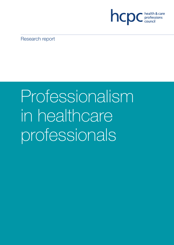

Research report

# Professionalism in healthcare professionals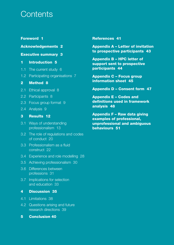# **Contents**

# **Foreword 1**

### **Acknowledgements 2**

### **Executive summary 3**

# **1 Introduction 5**

- 1.1 The current study 6
- 1.2 Participating organisations 7

# **2 Method 8**

- 2.1 Ethical approval 8
- 2.2 Participants 8
- 2.3 Focus group format 9
- 2.4 Analysis 9

# **3 Results 12**

- 3.1 Ways of understanding professionalism 13
- 3.2 The role of regulations and codes of conduct 20
- 3.3 Professionalism as a fluid construct 22
- 3.4 Experience and role modelling 28
- 3.5 Achieving professionalism 30
- 3.6 Differences between professions 31
- 3.7 Implications for selection and education 33

# **4 Discussion 35**

- 4.1 Limitations 38
- 4.2 Questions arising and future research directions 39
- **5 Conclusion 40**

### **References 41**

**Appendix A – Letter of invitation to prospective participants 43**

**Appendix B – HPC letter of support sent to prospective participants 44**

**Appendix C – Focus group information sheet 45**

**Appendix D – Consent form 47**

**Appendix E – Codes and definitions used in framework analysis 48**

**Appendix F – Raw data giving examples of professional, unprofessional and ambiguous behaviours 51**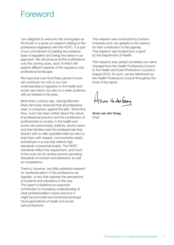# Foreword

I am delighted to welcome this monograph as the fourth in a series on research relating to the professions registered with the HCPC. It is part of our commitment to building the evidence base of regulation and being innovative in our approach. We will produce further publications over the coming years, each of which will explore different aspects of the regulatory and professional landscape.

We hope that over time these pieces of work will contribute not only to our own understanding of regulation in the health and social care sector, but also to a wider audience with an interest in this area.

More than a century ago, George Bernard Shaw famously observed that all professions were 'a conspiracy against the laity'. Since that time, much has been written about the nature of professional practice and the contribution of professionals to society. In the health and social care arena today, patients, service users and their families want the professionals they interact with to offer specialist skills but also to treat them with respect, communicate clearly and behave in a way that reflects high standards of personal probity. The HCPC standards reflect this requirement, and much of the work we do centres around upholding standards of conduct and behaviour as well as competence.

There is, however, very little published research on 'professionalism' in the professions we regulate, or any that explores the perceptions of students and educators in this way. This report is therefore an important contribution to increasing understanding of what professionalism means and how it might be promoted and enhanced amongst future generations of health and social care professions.

This research was conducted by Durham University and I am grateful to the authors for their contribution to this agenda. This research was funded from a grant by the Department of Health.

This research was carried out before our name changed from the Health Professions Council to the Health and Care Professions Council in August 2012. As such, we are referenced as the Health Professions Council throughout the body of the report.

Anna Varder Grang

Anna van der Gaag **Chair**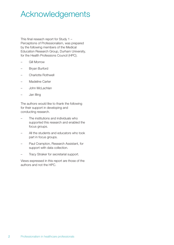# Acknowledgements

This final reseach report for Study 1 – Perceptions of Professionalism, was prepared by the following members of the Medical Education Research Group, Durham University, for the Health Professions Council (HPC).

- Gill Morrow
- Bryan Burford
- Charlotte Rothwell
- Madeline Carter
- John McLachlan
- Jan Illing

The authors would like to thank the following for their support in developing and conducting research.

- The institutions and individuals who supported this research and enabled the focus groups.
- All the students and educators who took part in focus groups.
- Paul Crampton, Research Assistant, for support with data collection.
- Tracy Straker for secretarial support.

Views expressed in this report are those of the authors and not the HPC.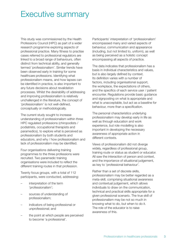# Executive summary

This study was commissioned by the Health Professions Council (HPC) as part of a wider research programme exploring aspects of professional practice. Many fitness to practise cases referred to professional regulators are linked to a broad range of behaviours, often distinct from technical ability, and generally termed 'professionalism'. Similar trends have been observed early in training for some healthcare professions. Identifying what professionalism means, and how lapses can be identified in practice, is also important to any future decisions about revalidation processes. Whilst the desirability of addressing and improving professionalism is relatively unchallenged in the literature, the concept of 'professionalism' is not well-defined, conceptually or methodologically.

The current study sought to increase understanding of professionalism within three HPC regulated professions (chiropodists / podiatrists, occupational therapists and paramedics), to explore what is perceived as professionalism by both students and educators, and why / how professionalism and lack of professionalism may be identified.

Four organisations delivering training programmes to the three professions were recruited. Two paramedic training organisations were included to reflect the different training routes in that profession.

Twenty focus groups, with a total of 112 participants, were conducted, addressing:

- interpretation of the term 'professionalism';
- sources of understanding of professionalism;
- indicators of being professional or unprofessional; and
- the point at which people are perceived to become 'a professional'.

Participants' interpretation of 'professionalism' encompassed many and varied aspects of behaviour, communication and appearance (including, but not limited to, uniform), as well as being perceived as a holistic concept encompassing all aspects of practice.

The data indicates that professionalism has a basis in individual characteristics and values, but is also largely defined by context. Its definition varies with a number of factors, including organisational support, the workplace, the expectations of others, and the specifics of each service user / patient encounter. Regulations provide basic guidance and signposting on what is appropriate and what is unacceptable, but act as a baseline for behaviour, more than a specification.

The personal characteristics underlying professionalism may develop early in life as well as through education and work experience, but role modelling is also important in developing the necessary awareness of appropriate action in different contexts.

Views of professionalism did not diverge widely, regardless of professional group, training route or status as student or educator. All saw the interaction of person and context, and the importance of situational judgement, as key to 'professional behaviour'.

Rather than a set of discrete skills, professionalism may be better regarded as a meta-skill, comprising situational awareness and contextual judgement, which allows individuals to draw on the communication, technical and practical skills appropriate for a given professional scenario. The true skill of professionalism may be not so much in knowing what to do, but when to do it. The role of the educator is to raise awareness of this.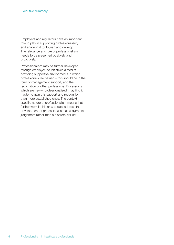Employers and regulators have an important role to play in supporting professionalism, and enabling it to flourish and develop. The relevance and role of professionalism needs to be presented positively and proactively.

Professionalism may be further developed through employer-led initiatives aimed at providing supportive environments in which professionals feel valued – this should be in the form of management support, and the recognition of other professions. Professions which are newly 'professionalised' may find it harder to gain this support and recognition than more established ones. The contextspecific nature of professionalism means that further work in this area should address the development of professionalism as a dynamic judgement rather than a discrete skill set.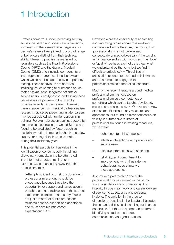# 1 Introduction

'Professionalism' is under increasing scrutiny across the health and social care professions, with many of the issues that emerge later in people's careers being linked to a broad range of behaviours distinct from their technical ability. Fitness to practise cases heard by regulators such as the Health Professions Council (HPC) and the General Medical Council (GMC) often include components of inappropriate or unprofessional behaviour which would not be captured by competency testing. These behaviours are not trivial, including issues relating to substance abuse, theft or sexual assault against patients or service users. Identifying and addressing these issues is also a problem to be faced by possible revalidation processes. However, there is evidence from medical professionalism research that issues presenting in later careers may be associated with similar concerns in training. For example action against doctors by state medical boards in the United States was found to be predicted by factors such as disciplinary action in medical school <sup>1</sup> and a low supervisor rating of their professionalism during their residency year.<sup>2</sup>

This potential association has value if the identification of concerns early in training allows early remediation to be attempted, in the form of targeted training, or in extreme cases counselling away from that professional role:

"Attempts to identify… risk of subsequent professional misconduct should be encouraged because this offers the opportunity for support and remediation if possible, or if not, redirection of the student into a more suitable area of study. This is not just a matter of public protection; students deserve support and assistance and must have realistic career expectations."3, p.1041

However, while the desirability of addressing and improving professionalism is relatively unchallenged in the literature, the concept of 'professionalism' is not well-defined, conceptually or methodologically: "the word is full of nuance and as with words such as 'love' or 'quality', perhaps each of us is clear what we understand by the term, but we find it difficult to articulate."4, p.2. This difficulty in articulation extends to the academic literature and to attempts to engage with professionalism as a theoretical construct.

Much of the recent literature around medical professionalism has focused on professionalism as a competency, or something which can be taught, developed, measured and assessed.5, 6, <sup>7</sup> One recent review of this area<sup>8</sup> identified many measures and approaches, but found no clear consensus on validity. It outlined five 'clusters of professionalism' found in existing measures, which were:

- adherence to ethical practice;
- effective interactions with patients and service users;
- effective interactions with staff; and
- reliability, and commitment to improvement) which illustrate the behavioural focus of many of these approaches.

A study with paramedics,9 one of the professional groups involved in this study, found a similar range of dimensions, from integrity through teamwork and careful delivery of service, to appearance and personal hygiene. The variation in the precise dimensions identified in the literature illustrates the semantic difficulties in labelling such broad constructs, but there is a common pattern of identifying attitudes and ideals, communication, and good practice.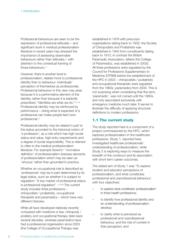Professional behaviours are seen to be the expression of professional attitudes – and significant work in medical professionalism literature in recent years has stressed the importance of assessing observable behaviours rather than attitudes.<sup>10</sup> with attention to the contextual framing of those behaviours.<sup>11</sup>

However, there is another level to professionalism, related more to professional identity than to behaviour: individuals' perception of themselves as professionals. Professional behaviour in this view may arise because it is a performative element of the identity, rather than because it is explicitly prescribed: "Identities are what we do."12, p44 Professional identity may be reinforced by performance – doing what is expected of a professional can make people feel more professional.<sup>13</sup>

Professional identity may be related in part to the status accorded to the historical notion of 'a profession', as a role which has high social status and value, high entry requirements and a degree of social responsibility. This is referred to often in the medical professionalism literature. For example Swick's<sup>14</sup> 'normative definition' of professionalism stresses elements of professionalism which may be seen as 'virtuous' rather than grounded in practice.

Whether an occupational role is described as 'professional' may be in part determined by its legal status, such as whether it is subject to regulation: "A key marker of professional status is professional regulation". 15, p536 The current study includes three professions – chiropodists / podiatrists, occupational therapists and paramedics – which have very different histories.

While all have developed relatively recently compared with medicine or law, chiropody / podiatry and occupational therapy date back several decades, whereas paramedics have had a professional organisation since 2003 (the College of Occupational Therapy was

established in 1978 with precursor organisations dating back to 1932; the Society of Chiropodists and Podiatrists was established in 1945 from constituents dating back to 1912; in contrast the British Paramedic Association, latterly the College of Paramedics, was established in 2003). All three professions were regulated by the Council for Professions Supplementary to Medicine (CPSM) before the establishment of the HPC in 2003 – chiropodists / podiatrists and occupational therapists were regulated from the 1960s, paramedics from 2000. This is not surprising when considering that the term, 'paramedic', was not coined until the 1960s, and only associated exclusively with emergency medicine much later. It serves to illustrate the difficulty of applying structural definitions to modern professions.

# **1.1 The current study**

The study reported here is a component of a project commissioned by the HPC, which explores professionalism in the healthcare professions. Study 1, reported here, investigated healthcare professionals' understanding of professionalism, while Study 2 is exploring ways to measure the breadth of the construct and its association with short-term career outcomes.

The stated aim of Study 1 was 'To explore student and educator perceptions of professionalism, and what constitutes professional and unprofessional behaviour', with four objectives:

- to explore what constitutes 'professionalism' in three health professions;
- to identify how professional identity and an understanding of professionalism develop;
- to clarify what is perceived as professional and unprofessional behaviour, and the role of context in that perception; and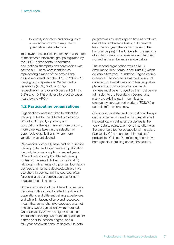– to identify indicators and analogues of professionalism which may inform quantitative data collection.

To answer these questions, research with three of the fifteen professional groups regulated by the HPC – chiropodists / podiatrists, occupational therapists and paramedics was carried out. These were identified as representing a range of the professional groups registered with the HPC. In 2009 – 10 these groups represented 29 per cent of registrants (7.3%, 6.2% and 15% respectively) 16, and over 40 per cent (21.1%, 9.8% and 10.1%) of fitness to practise cases heard by the HPC.<sup>17</sup>

# **1.2 Participating organisations**

Organisations were recruited to reflect the training routes for the different professions. While for chiropody / podiatry and occupational therapy this was more uniform, more care was taken in the selection of paramedic organisations, where more variation was anticipated.

Paramedics historically have had an in-service training route, and a degree-level qualification has only become an option in recent years. Different regions employ different training routes: some are all Higher Education (HE) (although with a range of diplomas, foundation degrees and honours degrees), while others use short, in-service training courses, often functioning as conversion courses for nonregulated technician staff.

Some examination of the different routes was desirable in this study, to reflect the different populations and different training experiences, and while limitations of time and resources meant that comprehensive coverage was not possible, two organisations were recruited. One ('University A') was a higher education institution delivering two routes to qualification: a three-year foundation degree, and a four-year sandwich honours degree. On both

programmes students spend time as staff with one of two ambulance trusts, but spend at least the first year (the first two years of the honours degree) in the University. The majority of students were school-leavers and few had worked in the ambulance service before.

The second organisation was an NHS Ambulance Trust ('Ambulance Trust B') which delivers a two year Foundation Degree entirely in-service. The degree is awarded by a local university, but most classroom teaching takes place in the Trust's education centre. All trainees must be employed by the Trust before admission to the Foundation Degree, and many are existing staff – technicians, emergency care support workers (ECSWs) or control staff – before entry.

Chiropody / podiatry and occupational therapy on the other hand have had long established HE qualification paths, and a degree is the only route to registration. One institution was therefore recruited for occupational therapists ('University C') and one for chiropodists / podiatrists ('College D'), reflecting the relative homogeneity in training across the country.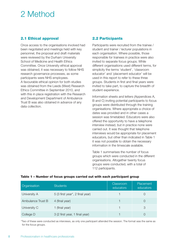# 2 Method

# **2.1 Ethical approval**

Once access to the organisations involved had been negotiated and meetings held with key personnel, the proposal and draft materials were reviewed by the Durham University School of Medicine and Health Ethics Committee. Once University ethical approval was obtained, it was necessary to follow NHS research governance processes, as some participants were NHS employees. A favourable ethical opinion for both studies was obtained from the Leeds (West) Research Ethics Committee in September 2010, and with this in place registration with the Research and Development Department of Ambulance Trust B was also obtained in advance of any data collection.

# **2.2 Participants**

Participants were recruited from the trainee / student and trainer / lecturer populations in each organisation. Where possible, those responsible for trainees in practice were also invited to separate focus groups. While different organisations used different terms, for simplicity the terms 'student', 'classroom educator' and 'placement educator' will be used in this report to refer to these three groups. Students in first and final years were invited to take part, to capture the breadth of student experience.

Information sheets and letters (Appendices A, B and C) inviting potential participants to focus groups were distributed through the training organisations. Where appropriate a choice of dates was provided and in other cases a session was timetabled. Educators were also offered the opportunity to have a telephone interview instead, but in practice none were carried out. It was thought that telephone interviews would be appropriate for placement educators, but other than indicated in Table 1 it was not possible to obtain the necessary information in the timescale available.

Table 1 summarises the number of focus groups which were conducted in the different organisations. Altogether twenty focus groups were conducted, with a total of 112 participants.

| Organisation      | <b>Students</b>                 | Classroom<br>educators | Placement<br>educators |
|-------------------|---------------------------------|------------------------|------------------------|
| University A      | 5 (3 first year*, 2 final year) |                        |                        |
| Ambulance Trust B | 4 (final year)                  |                        |                        |
| University C      | 1 (final year)                  |                        | 3                      |
| College D         | 3 (2 first year, 1 final year)  |                        |                        |

#### **Table 1 – Number of focus groups carried out with each participant group**

\*Two of these were conducted as interviews, as only one participant attended the session. The format was the same as for the focus groups.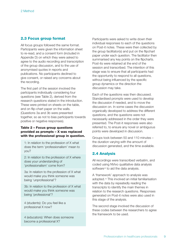### **2.3 Focus group format**

All focus groups followed the same format. Participants were given the information sheet to re-read, and a consent form (included in Appendix D) on which they were asked to agree to the audio recording and transcription of the group discussion, and to the use of anonymised quotes in reports and publications. No participants declined to give consent, or raised any concerns about the recording.

The first part of the session involved the participants individually considering four questions (see Table 2), derived from the research questions stated in the introduction. These were printed on sheets on the table, and on flip-chart paper on the walls. (Questions 3a and 3b were presented together, so as not to bias participants towards positive or negative responses).

#### **Table 2 – Focus group questions provided as prompts – X was replaced with the professional group in question.**

1: In relation to the profession of X what does the term 'professionalism' mean to you?

2: In relation to the profession of X where does your understanding of 'professionalism' come from?

3a: In relation to the profession of X what would make you think someone was being 'unprofessional'?

3b: In relation to the profession of X what would make you think someone was being 'professional'?

4 (students): Do you feel like a professional X now?

4 (educators): When does someone become a professional X?

Participants were asked to write down their individual responses to each of the questions on Post-it notes. These were then collected by the group facilitator(s) and put on the flipchart paper under each question. The facilitator then summarised any key points on the flipcharts. Post-its were retained at the end of the session and transcribed. The intention of this stage was to ensure that all participants had the opportunity to respond to all questions, without being influenced by the specific group dynamics or the direction the discussion may take.

Each of the questions was then discussed. Standardised prompts were used to develop the discussion if needed, and to move the discussion on. In some cases the discussion organically developed to address the different questions, and the questions were not necessarily addressed in the order they were presented. The Post-it responses were also referred to, to ensure any novel or ambiguous points were developed in discussion.

Groups took between 50 and 110 minutes – the duration varying with the amount of discussion generated, and the time available.

### **2.4 Analysis**

All recordings were transcribed verbatim, and coded using NVivo qualitative data analysis software<sup>18</sup> to aid the data analysis.

A 'framework' approach to analysis was adopted.19 This involved an initial familiarisation with the data by repeatedly reading the transcripts to identify the main themes in relation to the research questions. Responses generated on Post-it notes were also used in this stage of the analysis.

The second stage involved the discussion of these codes between the researchers to agree the framework to be used.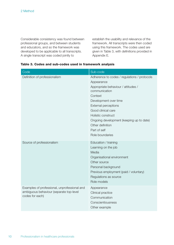Considerable consistency was found between professional groups, and between students and educators, and so the framework was developed to be applicable to all transcripts. A single transcript was coded jointly to

establish the usability and relevance of the framework. All transcripts were then coded using this framework. The codes used are given in Table 3, with definitions provided in Appendix E.

| Code                                                                                                       | Sub-code                                                                                                                                                                                                    |
|------------------------------------------------------------------------------------------------------------|-------------------------------------------------------------------------------------------------------------------------------------------------------------------------------------------------------------|
| Definition of professionalism                                                                              | Adherence to codes / regulations / protocols                                                                                                                                                                |
|                                                                                                            | Appearance                                                                                                                                                                                                  |
|                                                                                                            | Appropriate behaviour / attitudes /<br>communication                                                                                                                                                        |
|                                                                                                            | Context                                                                                                                                                                                                     |
|                                                                                                            | Development over time                                                                                                                                                                                       |
|                                                                                                            | <b>External perceptions</b>                                                                                                                                                                                 |
|                                                                                                            | Good clinical care                                                                                                                                                                                          |
|                                                                                                            | Holistic construct                                                                                                                                                                                          |
|                                                                                                            | Ongoing development (keeping up to date)                                                                                                                                                                    |
|                                                                                                            | Other definition                                                                                                                                                                                            |
|                                                                                                            | Part of self                                                                                                                                                                                                |
|                                                                                                            | Role boundaries                                                                                                                                                                                             |
| Source of professionalism                                                                                  | Education / training<br>Learning on the job<br>Media<br>Organisational environment<br>Other source<br>Personal background<br>Previous employment (paid / voluntary)<br>Regulations as source<br>Role models |
| Examples of professional, unprofessional and<br>ambiguous behaviour (separate top-level<br>codes for each) | Appearance<br>Clinical practice<br>Communication<br>Conscientiousness<br>Other example                                                                                                                      |

#### **Table 3. Codes and sub-codes used in framework analysis**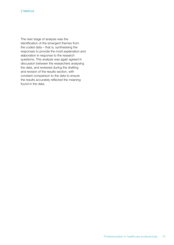The next stage of analysis was the identification of the emergent themes from the coded data – that is, synthesising the responses to provide the most explanation and elaboration in response to the research questions. This analysis was again agreed in discussion between the researchers analysing the data, and reviewed during the drafting and revision of the results section, with constant comparison to the data to ensure the results accurately reflected the meaning found in the data.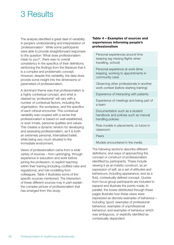# 3 Results

The analysis identified a great deal of variability in people's understanding and interpretation of 'professionalism'. While some participants were able to provide straightforward responses to the question 'What does professionalism mean to you?', there was no overall consistency in the specifics of their definitions, reinforcing the findings from the literature that it is a complex and problematic concept. However, despite this variability, the data does provide some insight into the dimensions or parameters of professionalism.

A dominant theme was that professionalism is a highly contextual concept, and what is classed as 'professional' will vary with a number of contextual factors, including the organisation, the workplace, and the specifics of each clinical encounter. This contextual variability was coupled with a sense that professionalism is based on well-established, or even innate, personal qualities and values. This creates a dynamic tension for developing and assessing professionalism, as it is both an extremely personal, internalised belief, while being very much situated in the immediate environment.

Views of professionalism came from a wide variety of sources – from upbringing, through experience in education and work before joining the profession, to explicit teaching within their training (including codified rules and regulations), and role modelling from colleagues. Table 4 illustrates some of the specific sources mentioned. The interaction of these different sources may in part explain the complex picture of professionalism that has emerged from this study.

#### **Table 4 – Examples of sources and experiences informing people's professionalism**

Personal experiences around time keeping (eg missing flights when travelling, school)

Personal experience at work (time keeping, working to appointments in community care)

Observing other professionals in another work context (before starting training)

Experience of interacting with patients

Experience of meetings and being part of a team

Documentation such as a student handbook and policies such as manual handling policies

Role models in placements, or tutors in classroom

Peers

Models encountered in the media

The following sections describe different definitions, and ways of approaching the concept or construct of professionalism identified by participants. These include viewing it as an holistic construct, as an expression of self, as a set of attitudes and behaviours, including appearance, and as a fluid, contextually defined concept. Quotes from focus group participants are included to expand and illustrate the points made. In parallel, the boxes distributed through these pages illustrate how these views were expressed as discrete examples of behaviour – including 'good' examples of professional behaviour, examples of unprofessional behaviour, and examples of behaviour which was ambiguous, or explicitly identified as contextually dependent.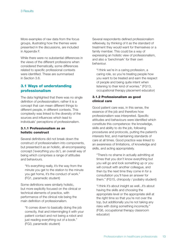More examples of raw data from the focus groups, illustrating how the themes were presented in the discussions, are included in Appendix F.

While there were no substantial differences in the views of the different professions when considered thematically, some differences related to specific professional contexts were identified. These are summarised in Section 3.6.

# **3.1 Ways of understanding professionalism**

The data highlighted that there was no single definition of professionalism; rather it is a concept that can mean different things to different people, in different contexts. This complexity was linked to the diversity of the sources and influences which lead to individuals' perceptions of professionalism.

#### **3.1.1 Professionalism as an holistic construct**

Several definitions did not break down the construct of professionalism into components, but presented it as an holistic, all-encompassing concept ('everything you do'), an overall way of being which comprises a range of attitudes and behaviours.

"It's everything really, it's the way from the minute you get to the station to the minute you get home, it's the conduct of work." (FG1, paramedic student)

Some definitions were similarly holistic, but more explicitly focused on the clinical or technical elements of practice, with performance of the clinical role being the main definition of professionalism.

"It comes down to basically doing the job correctly, that and intermingling it with your patient contact and not being a robot and just reading everything out of a book." (FG3, paramedic student)

Several respondents defined professionalism reflexively, by thinking of it as the standard of treatment they would want for themselves or a family member. This could be a way of expressing an holistic view of professionalism, and also a 'benchmark' for their own behaviour.

"I think we're in a caring profession, a caring role, so you're treating people how you want to be treated and earn the respect of people and being quite intent when listening to their kind of worries." (FG13, occupational therapy placement educator)

#### **3.1.2 Professionalism as good clinical care**

Good patient care was, in this sense, the essence of the job and therefore how professionalism was interpreted. Specific attitudes and behaviours were identified which constitute this competence: the knowledge, skills and ability to do the job, following procedures and protocols, putting the patient's interests first, and maintaining standards of care at all times. Good practice was linked to an awareness of limitations, of knowledge and skills, and acting appropriately.

"There's no shame in actually admitting at times that you don't know everything but you will go and look something up or you will consult with another colleague, and then by the next time they come in for a consultation you'll have an answer for them." (FG15, chiropody / podiatry student)

"I think it's about insight as well...it's about having the skills and choosing the appropriate level or the appropriate skill at the right time so that you're not over the top, but additionally you're not taking any risks with doing something incorrectly." (FG6, occupational therapy classroom educator)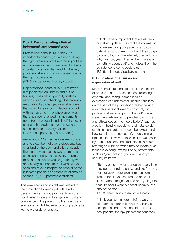#### **Box 1: Demonstrating clinical judgement and competence**

Professional behaviours: "I think it is important because if you are not auditing the right information or like drawing out the right information from assessments, that's important to share, that wouldn't be very professional would it, if you weren't sharing the right information?"

(FG19, occupational therapy student)

Unprofessional behaviours: "...I followed him [podiatrist] on visits in and out of houses, it was get in, get out, finish as early as I can, not checking if the patient's medication had changed or anything like that down to really poor infection control with instruments... the whole time I was there he never changed his instruments, apart from the actual blade itself, he never changed his blade handles, he used the same scissors for every patient." (FG15, chiropody / podiatry student)

Ambiguous: "You can be over meticulous and you can be, not over professional but over kind of thorough and a lot of people like that they can spend two hours on a scene and I think there's again, there's got to be a point where you've got to say we are actually just here to treat what we've seen and take to hospital or leave at home but some people do spend a lot of time on scenes..." (FG9, paramedic student)

This awareness and insight was related to the motivation to keep up-to-date with developments in good practice, to ensure good patient care and to engender trust and confidence in the patient. Both students and educators highlighted reflection on practice as key to professional practice.

"I think it's very important that we all keep ourselves updated... so that the information that we are giving our patients is up-todate, it is most current, so that if they do go back and look on the internet, they will think 'oh, hang on, yeah, I remember him saying something about that' and it gives them the confidence to come back to us." (FG15, chiropody / podiatry student)

#### **3.1.3 Professionalism as an expression of self**

Many behavioural and attitudinal descriptions of professionalism, such as those reflecting empathy and caring, framed it as an expression of fundamental, inherent qualities on the part of the professional. When talking about this personal level of construct, with professionalism as a 'part of the self', there were many references to people's own moral and ethical codes, their 'core beliefs' (such as a belief in helping people) or their 'standards' (such as standards of 'decent behaviour' and how people treat each other), underpinning practice. In this way professionalism was seen by both educators and students as 'intrinsic', referring to qualities which may be innate or at least pre-existing, exemplified by statements such as 'you have it or you don't' and 'you should just know'.

"To me, people's values underpin everything they do as a professional... and so, from my point of view, professionalism has come from before I even entered the profession… it's not about the job you do or anything like that, it's about what is decent behaviour to another person."

(FG18, paramedic classroom educator)

"I think you have a core belief as well, it's your core standards of what you think is acceptable and not acceptable." (FG13, occupational therapy placement educator)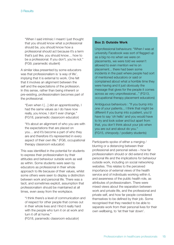"When I said intrinsic I meant I just thought that you should know what a professional should be, you should know how a professional should act because it's a term that's just like, you should know… how to be a professional. If you don't, you're not." (FG9, paramedic student)

A similar idea presented by some educators was that professionalism is 'a way of life', implying that it is external to work. One felt that it involves an alignment between the self and the expectations of the profession. In this sense, rather than being inherent or pre-existing, professionalism becomes part of the professional.

"Even when I […] did an apprenticeship, I had the same values as I do have now really, you know, I don't ever change." (FG18, paramedic classroom educator)

"It's about an alignment of who you are with the expectations that are placed on you… and it's become a part of who they are and therefore it's represented in every aspect of their own life." (FG6, occupational therapy classroom educator)

This was identified in the potential for students to express their professionalism by their attitudes and behaviour outside work as well as within. Some students were seen by educators as professional in their whole approach to life because of their values, whilst some others were seen to display a distinction between work and personal life. There was a tacit, and sometimes explicit, assumption that professionalism should be maintained at all times, even away from the workplace.

"I think there's a level of communication and of respect for other people that comes out in their whole lives and I find it really hard with the people who turn it on at work and turn it off at home."

(FG18, paramedic classroom educator)

#### **Box 2: Outside Work**

Unprofessional behaviours: "When I was at university Facebook was sort of flagged up as a big no-no when we were on placements, we were told we weren't allowed to even mention we're on placement... there had been some incidents in the past where people had sort of mentioned educators or said or complained about what a horrible time they were having and it just obviously the message that gives for the people it comes across as very unprofessional..." (FG13, occupational therapy placement educators)

Ambiguous behaviours : "If you bump into one of your patients... I think that might be different if you bump into a patient, you'd have to say 'oh hello' and you would have to try and look sober and but apart from that, you don't think about your job when you are out and about do you." (FG15, chiropody / podiatry students)

Participants spoke of either a merging / blurring or a distancing between their professional and personal selves – how far professionalism should or did extend into their personal life and the implications for behaviour outside work, including on social networking websites. This relates to the perceived importance of external views of the health service and of individuals working within it, and awareness of the public health role, as attributes of professionalism. There were mixed views about the separation between work and private life, and the professional and private self, and how far people considered themselves to be defined by their job. Some recognised that they needed to be able to separate work from their personal lives for their own wellbeing, to 'let their hair down'.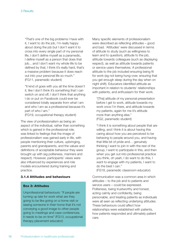"That's one of the big problems I have with it, I want to do the job, I'm really happy about doing the job but I don't want it to cross into every single part of my personal life, I don't define myself as a paramedic, I define myself as a person that does that job... and I don't want my whole life to be defined by that, I think it's really hard, that's a massive problem because it does reach out into your personal life so much." (FG11, paramedic student)

"It kind of goes with you all the time doesn't it, like I don't think it's something that I can switch on and off, I don't think that anything I do or put on Facebook could ever be considered totally separate from what I am and who I am as a professional because it's part of who I am."

(FG19, occupational therapy student)

The view of professionalism as being an aspect of the individual, rather than something which is gained in the professional role, was linked to feelings that the image of professionalism was gained early in life, with people mentioning their culture, upbringing, parents and grandparents, and the values and definitions of acceptable behaviour they were brought up with (eg politeness, manners and respect). However, participants' views were also influenced by experiences and role models encountered during training and practice.

#### **3.1.4 Attitudes and behaviours**

#### **Box 3: Attitudes**

Unprofessional behaviours: "If people are turning up late for work what are they going to be like going on a home visit or seeing someone in their home that it's not conveying a good image to other people going to meetings and case conferences, it needs to be on time" (FG13, occupational therapy placement educator)

Many specific elements of professionalism were described as reflecting attitudes – good and bad. 'Attitudes' were discussed in terms of attitude to study (such as willingness to learn and to question), attitude to the job, attitude towards colleagues (such as displaying respect), as well as attitude towards patients or service users themselves. A professional attitude to the job included ensuring being fit for work (eg not being hung-over, ensuring that you get enough sleep during the day when on night shift). Educators identified attitude as important in relation to students' relationships with patients, and enthusiasm for their work.

"[The] attitude of my personal presentation before I get to work, attitude towards my work once I'm there, and attitude towards my patients, again for me it's attitude more than anything else." (FG2, paramedic student)

"I think it is something about people that are willing, and I think it is about having this caring about how you are perceived to be behaving to people around you, and having that little bit of pride and… genuinely thinking I want to join in with the rest of the group, I want to participate in this, and then when you get out into professional practice you think, oh yeah, I do want to do this, I want to engage with my patients, I want to do the best I can."

(FG18, paramedic classroom educator)

Communication was a common area in which attitudes – to the job and to patients and service users – could be expressed. Politeness, being trustworthy and honest, acting calmly and confidently, being personable, and treating patients as individuals were all seen as reflecting underlying attitudes. These behaviours could affect how relationships were established with patients, how patients responded and ultimately patient care.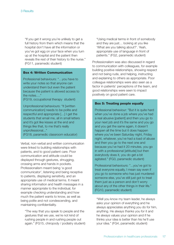"If you get it wrong you're unlikely to get a full history from them which means that the hospital don't have all the information or you've got egg on your face when you turn up at the hospital and the patient then reveals the rest of their history to the nurse." (FG11, paramedic student)

#### **Box 4: Written Communication**

Professional behaviours: "…you have to write your notes so that anyone can understand them but even the patient because the patient is allowed access to the notes…."

(FG19, occupational therapy student)

Unprofessional behaviours: "It [written communication] needs to be polite and respectful and appropriate […] I get the students that email me, all in small letters and it's got like kisses at the end and things like that, to me that's really unprofessional..."

(FG18, paramedic classroom educator)

Verbal, non-verbal and written communication were linked to building relationships with patients, and to good patient care. Poor communication and attitude could be displayed through gestures, shrugging, crossing arms and hands in pockets. Professionalism meant being 'a good communicator', listening and being receptive to patients, displaying sensitivity, and an appropriate use of medical terms. It meant sharing information and health messages in a manner appropriate to the individual, for example checking understanding and how much the patient wants to know, as well as being polite and not condescending, and maintaining confidentiality.

"The way that you speak to people and the gestures that we use, we're not kind of rushing people in and rushing people out again." (FG15, chiropody / podiatry student)

"Using medical terms in front of somebody and they are just… looking at you like 'What are you talking about?'. Yeah, appropriate use of language in front of patients." (FG2, paramedic student)

Professionalism was also discussed in regard to communication with colleagues, for example building positive relationships, showing respect and not being rude, and helping, instructing and explaining to others as appropriate. Poor colleague relationships were also seen as a factor in patients' perceptions of the team, and good relationships were seen to impact positively on good patient care.

#### **Box 5: Treating people equally**

Professional behaviour: "But it is quite hard when you've done a job where you've had a real abusive [patient] and then you go to your next job and it's the same and you go and you get the same again, it doesn't happen all the time but it does happen where you've been Saturday night, Friday night, whatever, you've had a load of abuse and then you go to the next one and because you've had it 20 minutes, you go in with a professional [attitude] but then everybody does it, you do get a bit agitated." (FG3, paramedic student)

Professional behaviours: "...you've got to treat everyone equally, I mean say even if you go to someone who has just murdered someone else, you've still just got to treat them just as a person and don't worry about any of the other things in their life." (FG10, paramedic student)

"Well you know my team leader, he always asks your opinion of everything and he always appreciates anything you do for him, anything. He always thanks you for it and he always values your opinion and if he thinks your idea is better than his he'll use your idea." (FG4, paramedic student)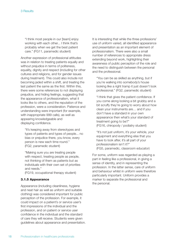"I think most people in our [team] enjoy working with each other... I think that's probably when we get the best patient care." (FG11, paramedic student)

Another expression of professional attitudes was in relation to treating patients equally and without prejudice in terms of politeness, equality, dignity and respect (including for other cultures and religions, and for gender issues during treatment). This could also include not becoming jaded within a shift, and treating the last patient the same as the first. Within this, there were some references to not displaying prejudice, and hiding feelings, suggesting that the appearance of professionalism, what it looks like to others, and the reputation of the profession, were a consideration. Patience and understanding were important (for example, with inappropriate 999 calls), as well as appearing knowledgeable and displaying confidence.

"It's keeping away from stereotypes and types of patients and types of people... no bias or prejudice there, you know, every person is new each time round." (FG2, paramedic student)

"Making sure you are treating people with respect, treating people as people, not thinking of them as patients but as individuals with their own set of priorities and needs."

(FG19, occupational therapy student)

#### **3.1.5 Appearance**

Appearance (including cleanliness, hygiene and neat hair as well as uniform and suitable clothing) was considered important for public perception of the profession. For example, it could impact on a patient's or service user's first impressions of the individual and the profession, and on patient or service user confidence in the individual and the standard of care they will receive. Students were given guidelines about appearance and presentation. It is interesting that while the three professions' use of uniform varied, all identified appearance and presentation as an important element of professionalism. There were also a small number of references to appropriate dress extending beyond work, highlighting their awareness of public perception of the role and the need to distinguish between the personal and the professional.

"You can be as skilled as anything, but if you're walking into somebody's house looking like a right tramp it just doesn't look professional." (FG2, paramedic student)

"I think that gives the patient confidence. If you come along looking a bit grubby and a bit scruffy they're going to worry about how clean your instruments are… and if you don't have a standard in your own appearance then what's your standard of treatment going to be?" (FG16, chiropody / podiatry student)

"It's not just uniform, it's your vehicle, your equipment and everything else that you have to look after, it's all part of your professionalism isn't it?" (FG5, paramedic, classroom educator)

For some, uniform was regarded as playing a part in feeling like a professional, in giving a sense of identity, and in representing the profession. In the latter sense, care of uniform and behaviour whilst in uniform were therefore particularly important. Uniform provides a marker to separate the professional and the personal.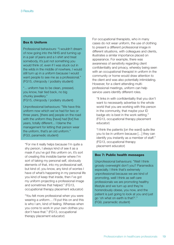#### **Box 6: Uniform**

Professional behaviours: "I wouldn't dream of now going into the NHS and turning up in a pair of jeans and a t-shirt and treat somebody, it's just not something you would think of, even if I was stuck out in the wilds in the middle of nowhere, I would still turn up in a uniform because I would want people to see me as a professional." (FG15, chiropody / podiatry student)

"... uniform has to be clean, pressed, you know, hair tied back, no big chunky jewellery." (FG15, chiropody / podiatry student)

Unprofessional behaviours: "We have this uniform now which we've had for two or three years, [there are] people on the road with the uniform they [have] had [for] five years, totally different... I blame the management for letting that person wear the uniform, that's an old uniform." (FG3, paramedic student)

"For me it really helps because I'm quite a shy person, I always kind of see it as a mask if you've got this uniform on, it's sort of creating this invisible barrier where I'm sort of taking my personal self, obviously elements of that, into my professional self, but kind of, you know, any kind of worries I have of what's happening in my personal life you kind of keep that inside, then I've got my uniform projecting a professional image and sometimes that helped." (FG13, occupational therapy placement educator)

"You felt more professional when you were wearing a uniform... I'll put this on and this is who I am, kind of feeling. Whereas when you come to work in your own clothes you don't have that." (FG13, occupational therapy placement educator)

For occupational therapists, who in many cases do not wear uniform, the use of clothing to present a different professional image in different situations, with colleagues and clients, illustrates a similar importance placed on appearance. For example, there was awareness of sensitivity regarding client confidentiality and privacy, whereby being seen with an occupational therapist in uniform in the community or home would draw attention to the client and was also potentially intimidating. However, for a client attending multiprofessional meetings, uniform can help service users identify different roles.

"It links in with confidentiality that you don't want to necessarily advertise to the whole world that you are working with this person in the community, that maybe your ID badge etc is best in the work setting." (FG13, occupational therapy placement educator)

"I think the patients [on the ward] quite like you to be in uniform because […] they can identify you instantly as a member of staff." (FG13, occupational therapy placement educator)

#### **Box 7: Public health messages**

Unprofessional behaviours: "Well I think grossly overweight don't you? Paramedics especially. I think that's extremely unprofessional because we are kind of promoting, well I think as self care professionals we are promoting healthy lifestyle and we turn up and they're horrendously obese, you now, and the patient is just going to look at you and just go 'oh what on earth is that?'." (FG9, paramedic student)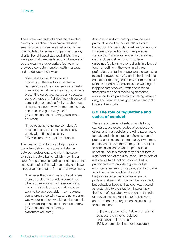There were elements of appearance related directly to practice. For example dressing smartly could also serve as behaviour to be role modelled for some occupational therapy clients. For chiropodists / podiatrists, there were pragmatic elements around dress – such as the wearing of appropriate footwear, to provide a consistent public health message and model good behaviour.

"We use it as well for social role modelling… there is this expectation between us as OTs in our service to really think about what we're wearing, how we're presenting ourselves, particularly because our client group […] difficulties with personal care and so on and so forth, it's about us… dressing in a good way for them to feel they can dress in a good way too." (FG13, occupational therapy placement educator)

"If you're going to go into somebody's house and say those shoes aren't any good, with 15 inch heels on." (FG16 chiropody / podiatry student)

The wearing of uniform can help create a boundary defining appropriate distance between professional and client; however it can also create a barrier which may hinder care. One paramedic participant noted that the association of uniform with authority can have a negative connotation for some service users.

"I've never liked uniforms and I sort of see them as a bit of a boundary sometimes when you're working with service users. I never want to look too smart because I want to be approachable… some expect you to dress a certain way and act a certain way whereas others would see that as quite an intimidating thing, so it's that boundary." (FG13, occupational therapy placement educator)

Attitudes to uniform and appearance were partly influenced by individuals' previous background (in particular a military background for some paramedics) and their personal standards. Pragmatics tended to be learned on the job as well as through college guidelines (eg leaning over patients in a low cut top; hair getting in the way). In all three professions, attitudes to appearance were also related to awareness of a public health role, to educate or model good behaviour to the public (with chiropodists / podiatrists the wearing of inappropriate footwear; with occupational therapists the social modelling described above, and with paramedics smoking while on duty, and being overweight to an extent that it hinders their work).

# **3.2 The role of regulations and codes of conduct**

There are a number of sets of regulations, standards, protocols, codes of conduct and ethics, and trust policies providing parameters for safe and ethical practice. Some areas of professionalism are also framed by law – theft, substance misuse, racism may all be subject to criminal action as well as professional sanction – for this reason they did not form a significant part of the discussion. These sets of rules serve two functions as identified by participants – to provide a guide for the minimum standards of practice, and to provide sanctions when practice falls short. Regulations acted as a baseline level of professionalism that would not be breached, but behaviour beyond that level was viewed as adaptable to the situation. Interestingly, the focus of educators was often on the role of regulations as examples to be followed, and of students on regulations as rules not to be breached.

"If [trainee paramedics] follow the code of conduct, then they should be professional all the time." (FG5, paramedic classroom educator)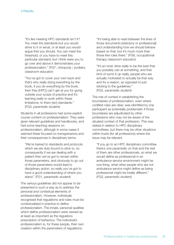"It's like meeting HPC standards isn't it? You meet the standards but you would strive to it or excel, or at least you would argue that you should. You can meet the threshold, or you have to meet this particular standard, but I think were you to go over and above it demonstrates your professionalism." (FG7, chiropody / podiatry classroom educator)

"You've got to cover your own back and that's why really doing everything by the book, if you do everything by the book, then they [HPC] can't get at you for going outside your scope of practice and it's learning really to work within these limitations, to them [sic] standards." (FG3, paramedic student)

Students in all professions had some explicit course content on professionalism. They were given relevant guidelines and handbooks, and had some teaching sessions on professionalism, although in some cases it seemed these focused on transgressions and their consequences in disciplinary terms.

"We're trained to standards and protocols which we are duty bound to stick to, so consequently if we are dealing with a patient then we've got to remain within those parameters, and obviously to go out of those parameters would lead to disciplinary action, so really you've got to have a good understanding of where you stand." (FG1, paramedic student)

The various guidelines did not appear to be presented in such a way as to address the personal and contextual elements of professionalism. However, individuals recognised that regulations and rules must be contextualised in practice to define professionalism. The innate, personal qualities which define professionalism were viewed as at least as important as the regulatory prescription of behaviour. The individual's professionalism is, for these people, their own creation within the parameters of regulations.

"It's being able to read between the lines of those documents [statutory or professional] and understanding how we should behave based on that, but it's much more than those few rules there." (FG6, occupational therapy classroom educator)

"It's an inner drive really to be the best that you possibly can at something, and that kind of sums it up really, people who are actually motivated to actually be that way and for a reason, as opposed to just sticking to the guidelines." (FG2, paramedic student)

The role of context in establishing the boundaries of professionalism, even where codified rules are clear, was identified by one participant as potentially problematic if those boundaries are adjudicated by other professions who may not be aware of the situated context of that profession. This was stated in relation to HPC disciplinary committees, but there may be other situations within trusts (for all professions) where the issue may be relevant.

"If you go to an HPC disciplinary committee there's one paramedic on that and the rest of them are other professionals, so what we would define as professional in an ambulance service environment might be one thing, what other people who are not ambulance service might define as being professional might be totally different." (FG2, paramedic student)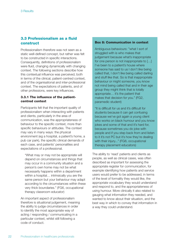# **3.3 Professionalism as a fluid construct**

Professionalism therefore was not seen as a static well-defined concept, but rather was felt to be constructed in specific interactions. Consequently, definitions of professionalism were fluid, changing dynamically with changing context. The following sections describe how this contextual influence was perceived, both in terms of the clinical, patient-centred context, and of the organisational and inter-professional context. The expectations of patients, and of other professions, were key influences.

#### **3.3.1 The influence of the patientcentred context**

Participants felt that the important quality of professionalism when interacting with patients and clients, particularly in the area of communication, was the appropriateness of behaviour to the specific context, more than specific behaviours or attitudes. The context may vary in many ways: the physical environment (eg a hospital, a patient's home, a pub car park), the specific clinical demands of each case, and patients' personalities and expectations of a professional.

"What may or may not be appropriate will depend on circumstances and things that may occur in a community situation and a person's own home may not be what necessarily happens within a department within a hospital… intrinsically you are the same person but your behaviour may adapt according to the circumstances within these very thick boundaries." (FG6, occupational therapy classroom educator)

An important aspect of professionalism therefore is situational judgement, meaning the ability to judge circumstances in order to identify the most appropriate way of acting / responding / communicating in a particular context, whilst still following a code of conduct.

#### **Box 8: Communication in context**

Ambiguous behaviours: "what I sort of struggled with is who makes that judgement because what's inappropriate for one person is not inappropriate to […] I've been to a patient's house where someone has said to us I don't like being called that, I don't like being called darling and stuff like that. So is that inappropriate behaviour or might someone, you know not mind being called that and in their age group they might think that is totally appropriate… it's the patient that makes that decision for you." (FG2, paramedic student)

"It is difficult for us and it's difficult for students because it can get confusing because we've got again a young client who works on black humour and you know jokes and some of that and it's hard for, because sometimes you do joke with people and if you step back from and listen to it it's not PC but it's how they're dealing with their injury..." (FG8, occupational therapy placement educators)

The ability to 'read' patients and clients as people, as well as clinical cases, was often described as important for assessing the appropriate register for communication, for example identifying how patients and service users would prefer to be addressed, in terms of the level of formality they would like, the appropriate vocabulary they would understand and respond to, and the appropriateness of using humour. More clinically it also related to gauging what information they needed, and wanted to know about their situation, and the best way in which to convey that information in a way they could understand.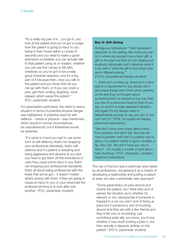"It's a really big part of it... you go in, you look at the patient and you've got to judge how the patient is going to react to you being in their house within a couple of seconds and you need to make a good estimation of whether you can actually talk to that patient using sir or madam, whether you can use first names or Mr, Mrs, whatever, so you've got to be a really good character assessor, and it's a big part of it because then, once you talk to the patient and you know how far you can go with them, or if you can crack a joke, get them smiling, laughing, more relaxed, which eases the patient." (FG1, paramedic student)

For paramedics particularly, the need to read a situation in terms of potential physical danger was highlighted. A potential need for self defence – verbal or physical – was mentioned, which would in normal circumstances be unprofessional, but if threatened would be essential.

"If it came to it and you had to use some form of self-defence, that's not dropping your professional standards, that's selfdefence and if a patient is swearing and being aggressive and abusive at you and you have to get them off the ambulance in case they cause some injury to you that's not dropping your professional standards, that's all about being professional with the levels that we've got... it doesn't matter what's wrong with them, if they are going to cause an injury to you or your crewmate the professional thing is to look after one another." (FG1, paramedic student)

#### **Box 9: Gift Giving**

Ambiguous behaviours: "Yeah because it depends on the setting, like some you can do it where you accept it as a team gift, a gift to the team so then it's not singling out anybody individually but it depends what it is as well to what the gift is and what rules are in different places."

(FG19, occupational therapy student)

"...there isn't a notice up, there isn't a clear sign in a department to say please don't give these things and I think when patients come and they've thought about something they've wanted to buy you then you feel it's a personal insult to them if you say no and it's a really awkward situation and again it's not always clear in departments anyway to say you can or you can't isn't it." (FG8, occupational therapy placement educators)

"We don't know how many take money from patients and don't tell. Not that we have a problem with that if a patient was to give a, if a patient wants to give a student a tip, they can. We don't have any rule to stop it... it's usually a couple of quid and a hairy humbug." (FG7, chiropody / podiatry classroom educators)

The use of humour was a particular area raised by all professions, recognising it as a means of developing a relationship and putting a patient at ease, but also a potentially risky approach.

"Some paramedics do joke around and involve the patient, but I think they sort of assess the situation as to whether it's relevant or not, because like if someone is trapped in a car you don't sort of bring up jokes but if someone is sort of mucking around and they are with a few friends and they'd fell over or something, just something quite silly, you know, you'd see whether it was worth putting a joke in, but then actually it depends entirely on the patient." (FG10, paramedic student)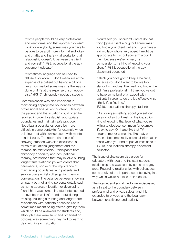"Some people would be very professional and very formal and that approach doesn't work for everybody, sometimes you have to be able to be a bit more informal and jokey and chatty, and that's what works for that relationship doesn't it, between the client and yourself." (FG8, occupational therapy placement educator)

"Sometimes language can be used to diffuse a situation... I don't mean like at the expense of a patient but having a bit of a laugh, it's fine but sometimes it's the way it's done or if it's at the expense of somebody else." (FG17, chiropody / podiatry student)

Communication was also important in maintaining appropriate boundaries between professional and patient or client. 'Reading' the patient and the situation could often be required in order to establish appropriate boundaries and maintain safe practice. Negotiating boundaries could be more difficult in some contexts, for example when building trust with service users with mental health issues. The appropriateness of showing emotion was also discussed in terms of situational judgement and the therapeutic relationship. Participants from chiropody / podiatry and occupational therapy, professions that may involve building longer-term relationships with clients than paramedics, spoke of the importance of maintaining boundaries with patients and service users whilst still engaging them in conversation. The balance between showing empathy but not giving personal details such as home address / location or developing friendships was something students seemed to have been well informed about during training. Building a trusting and longer-term relationship with patients or service users sometimes meant being offered gifts by them, which could be awkward for students and, although there were Trust and organisation policies, was something they had to learn to deal with in each situation.

"You're told you shouldn't kind of do that thing [give a client a hug] but sometimes if you know your client well and... you have a frail old lady who is very upset it might be appropriate to just put your arm around them because we're human, it's compassion... it's kind of knowing your client." (FG13, occupational therapy placement educator)

"I think you have got to keep a balance, because you don't want to be like too standoffish and just like, well, you know, the old 'I'm a professional'... I think you've got to have some kind of a rapport with patients in order to do the job effectively, so I think it's a fine line." (FG19, occupational therapy student)

"Disclosing something about yourself can be a good sort of breaking the ice, so it's kind of knowing that level of what you're willing to disclose, so I mean for example it's ok to say 'Oh I also like that TV programme' or something like that, but when it becomes really personal information that's when you kind of put yourself at risk." (FG13, occupational therapy placement educator)

The issue of disclosure also arose for educators with regard to the staff-student relationship and was seen by some as a grey area. Regarding relationships with colleagues, some spoke of the importance of behaving in a way which would not lose their respect.

The internet and social media were discussed as a threat to the boundary between professional and private selves, and this extended to privacy, and the boundary between practitioner and patient.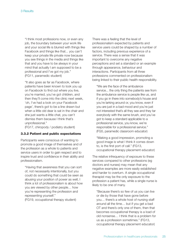"I think most professions now, or even any job, the boundary between your work life and your social life is blurred with things like Facebook and things like that... you can't keep your private life private now because you see things in the media and things like that and you have to be always in your mind that actually I am supposed to be a professional and I've got my job." (FG11, paramedic student)

"It also goes as far as Facebook, where patients have been known to look you up on Facebook to find out where you live, you're married, you've got children, and then they'll come into the clinic next week, 'oh, I've had a look on your Facebook page', there's got to be a line drawn but when a little old dear is sat in the chair and she just wants a little chat, you can't dismiss them because I think that's unprofessional."

(FG17, chiropody / podiatry student)

#### **3.3.2 Patient and public expectations**

Participants were conscious of wanting to promote a good image of themselves and of the profession as a whole to patients and service users in order to gain respect and to inspire trust and confidence in their ability and professionalism.

"Having that awareness that you can sort of, not necessarily intentionally, but you could do something that could be seen as abusing your position of power as well, I think a lot of professionalism is about how you are viewed by other people… how you're representing the profession and representing yourself."

(FG19, occupational therapy student)

There was a feeling that the level of professionalism expected by patients and service users could be shaped by a number of factors, including previous experience of a service. There was a sense that it was important to overcome any negative perceptions and set a standard or an example through appearance, behaviour and interactions. Participants from all three professions commented on professionalism being linked to their public health responsibility.

"We are the face of the ambulance service... the only thing the patients see from the ambulance service is people like us, and if you go in there into somebody's house and you're larking around or, you know, even if you are just in a bad mood and you're just not interested that's all they see and they tar everybody with the same brush, and you've got to keep a standard applicable to a professional service, you know, we're responsible for a professional service." (FG5, paramedic classroom educator)

"Making a good impression, promoting a good image is what I think it comes down to, is the first port of call." (FG13, occupational therapy placement educator)

The relative infrequency of exposure to these services compared to other professions (eg doctors and nurses) may mean that any negative examples are more easily established and harder to overturn. A single occupational therapist may be the only exposure to the profession a patient has, while a single nurse is likely to be one of many.

"Because there's so few of us you can live or die by those that have gone before you… there's a whole host of nursing staff around all the time… but if you get a bad OT and there's only one of them, then that becomes occupational therapy is a load of old nonsense… I think that is a problem for us as a profession sometimes." (FG13, occupational therapy placement educator)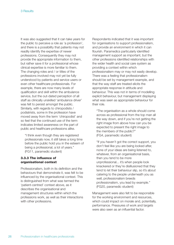It was also suggested that it can take years for the public to perceive a role as 'a profession', and there is a possibility that patients may not readily identify the expertise of newer professions. Consequently they may not provide the appropriate information to them, but rather save it for a professional whose clinical expertise is more familiar to them. The changing roles and / or titles of the professions involved may not yet be fully understood by patients and service users or even other healthcare professionals. For example, there are now many levels of qualification and skill within the ambulance service, but the out-dated perception of all staff as clinically unskilled 'ambulance driver' was felt to persist amongst the public. Similarly, with regards to chiropodists / podiatrists, some in the profession have moved away from the term 'chiropodist' and so feel that the continued use of the term indicates limited awareness on the part of public and healthcare professions alike.

"I think even though they are registered professionals now, it still takes a long time before the public hold you in the esteem of being a professional, a lot of years." (FG11, paramedic student)

#### **3.3.3 The influence of organisational context**

Professionalism, both in its definition and the behaviours that demonstrate it, was felt to be influenced by the organisational context. This is distinguished from what was termed the 'patient-centred' context above, as it describes the organisational and management structures within which the professions work, as well as their interactions with other professions.

Respondents indicated that it was important for organisations to support professionalism, and provide an environment in which it can flourish. Paramedics particularly identified management support as important, but the other professions identified relationships with the wider health and social care system as providing a context within which professionalism may or may not easily develop. There was a feeling that professionalism should be set by management example, and that the way staff are treated elicits the appropriate response in attitude and behaviour. This was not in terms of modelling explicit behaviour, but management displaying what was seen as appropriate behaviour for their role.

"The organisation as a whole should come across as professional from the top man all the way down, and if you're not getting the right image from above how can you be expected to present the right image to the members of the public?" (FG4, paramedic student)

"If you haven't got the correct support, you don't feel like you are being looked after, none of your ideas are being listened to, whatever, from an organisational basis, then you tend to be more unprofessional... it's when people look knackered or they're disillusioned that they tend to let their behaviour slip, so it's about catering to the people underneath you as well, professionalism breeds professionalism, you lead by example." (FG20, paramedic student)

Management were also felt to be responsible for the working environment and resources, which could impact on morale and, potentially, performance. Pressures of work and targets were also seen as an influential factor.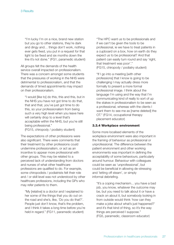"I'm lucky I'm on a nice, brand new station but you go to other stations, they're dark and dingy and… things don't work, nothing ever gets fixed, you put in a request for that light to be fixed and six months down the line it's not done." (FG1, paramedic student)

All groups felt the demands of the health service overall impacted on professionalism. There was a concern amongst some students that the pressures of working in the NHS were detrimental to professionalism, and that the demands of timed appointments may impact on their professionalism.

"I would [like to] do this, this and this, but in the NHS you have not got time to do that, that and that, you've just got time to do this, so your professionalism from being such a very high level when you leave here will certainly drop to a level that's acceptable within the NHS, but you're still being professional." (FG15, chiropody / podiatry student)

The expectations of other professions were also significant. There were comments that their treatment by other professions could undermine professionalism, or act as an incentive to appear more professional with other groups. This may be related to a perceived lack of understanding from doctors and nurses of what other healthcare professions are qualified to do. For example, some chiropodists / podiatrists felt their role and / or skill level was not understood by other healthcare professions, including the GPs who may refer patients to them.

"My [relative] is a doctor and I explained to her some of the things that you do out on the road and she's, like, 'Do you do that?'. People just don't know, that's the problem, and I think it takes a long time before you're held in regard." (FG11, paramedic student)

"The HPC want us to be professionals and if we can't be given the tools to be professional, ie we have to treat patients in a cupboard on a box, how on earth do they expect us to be professional? And that patient can easily turn round and say 'right, that treatment was poor'." (FG15, chiropody / podiatry student)

"If I go into a meeting [with other professions] that I know is going to be challenging I may actually dress more formally to present a more formal professional image. I think about the language I'm using and the way that I'm communicating kind of really to sort of up the stakes in professionalism to be seen as a professional, whereas with the clients I want them to see me as [name deleted] the OT." (FG14, occupational therapy placement educator)

#### **3.3.4 Workplace environment**

Some more localised elements of the workplace environment were also important in the framing of behaviour as professional or unprofessional. The difference between the patient environment and other working environments was important in defining the acceptability of some behaviours, particularly around humour. Behaviour with colleagues could be seen as 'unprofessional', but could be beneficial in allowing de-stressing and 'letting off steam', or simply informal debriefing.

"It's a coping mechanism... you have a bad job, you know, whatever the outcome may be, but you need to talk about it or have a crack on about it, but somebody looking in from outside would think 'how can they make a joke about what's just happened?' and it's that kind of thing, so it's the way things are perceived I suppose." (FG5, paramedic, classroom educator)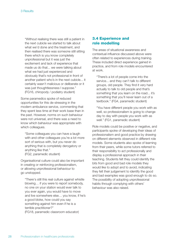"Without realising there was still a patient in the next cubicle we started to talk about what we'd done and the treatment, and then realised there was someone still sitting there which is you know completely unprofessional but it was just the excitement and lack of experience that made us do that... we were talking about what we had just experienced and obviously that's not professional in front of another patient who's in the next cubicle... it certainly wasn't malicious or deliberate or it was just thoughtlessness I suppose." (FG16, chiropody / podiatry student)

Some paramedics spoke of reduced opportunities for this de-stressing in the modern ambulance service, commenting that they spent less time at their work base than in the past. However, norms on such behaviour were not universal, and there was a need to know which behaviour was appropriate with which colleagues.

"Some colleagues you can have a laugh with and other colleagues you're a lot more sort of serious with, but you never do anything that is completely derogatory or anything like that." (FG2, paramedic student)

Organisational culture could also be important in creating or reinforcing professionalism, or allowing unprofessional behaviour to go unstopped.

"There's still this real culture against whistle blowing… if you were to report somebody, no one on your station would ever talk to you ever again, you would have to move and live somewhere else… you know, if he's a good bloke, how could you say something against him even if he is a terrible practitioner?" (FG18, paramedic classroom educator)

### **3.4 Experience and role modelling**

The areas of situational awareness and contextual influence discussed above were often related to experiences during training. These included direct experience gained in practice, and from role models encountered at work.

"There's a lot of people come into the service... and they can't talk to different groups, old people. They find it very hard actually to talk to old people and that's something that you learn on the road... it's something that you'll never learn out of a textbook." (FG4, paramedic student)

"You have different people you work with as well, so professionalism is going to change day to day with people you work with as well." (FG1, paramedic student)

Role models could be positive or negative, and participants spoke of developing their ideas of professionalism and good practice by drawing on different elements observed in different role models. Some students also spoke of learning from their peers, while some tutors referred to their responsibility to act professionally and display a professional approach in their teaching. Students felt they could identify the bits from good and bad role models they would like to adopt and to avoid, indicating they felt their judgement to identify the good and bad examples was good enough to do so. The possibility of adopting unprofessional habits through complying with others' behaviour was also raised.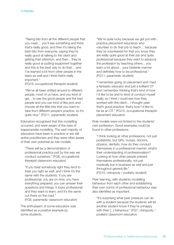"Taking bits from all the different people that you meet… you'll see something and think that's really good, and then it's taking the best bits from everyone, saying they're really good at talking to the client and getting their attention, and then... they're really good at putting equipment together and this is the best way to do that… and I've learned a lot from other people in the team as well and I think that's really important."

(FG19, occupational therapist student)

"We've all been shifted around to different people, most of us have, and you kind of get... to see the good people and the bad people and you can kind of like pick and choose all the little bits that you want to take from different people's practice, so it's quite nice." (FG11, paramedic student)

Educators recognised that this modelling occurred, and were aware of the risks of inappropriate modelling. The vast majority of educators have been in practice or are still active practitioners and they were often aware of their own potential as role models.

"There will be a demonstration of professional practice just by the way we conduct ourselves." (FG6, occupational therapist classroom educator)

"If you treat somebody right they tend to treat you right as well, and I think it's the same with the students. If you are professional, you are on time, you have everything prepared, you can answer their questions and things, it looks professional and they want to learn, and it's the same out there on the road."

(FG5, paramedic classroom educator)

The enthusiasm of some educators was identified as a positive example by some students.

"We're quite lucky because we get put with practice placement educators who volunteer to do that job to teach… because they've volunteered for that you know they are really quite good at their job and quite professional because they want to advance the profession by teaching others... you learn a lot about... your bedside manner and definitely how to be professional." (FG11, paramedic student)

"I remember going on placement and I had a fantastic educator and just a brilliant OT and I remember thinking that's kind of how I'd like to be and to kind of conduct myself really, so I think I could see how they worked with the client... I thought yeah that's good practice, that's how I'd like to be as an OT." (FG13, occupational therapist placement educator)

Role models were not limited to the students' own profession. Good examples could be found in other professions.

"I think looking at other professions, not just podiatrists, but GPs, nurses, doctors, physios, dentists, how do they conduct themselves in a professional manner, what's their understanding of professionalism? Looking at how other people present themselves professionally, not just medically but in business as well and just throughout general life." (FG15, chiropody / podiatry student)

Peer learning, with students modelling behaviour from each other and establishing their own norms of professional behaviour was also identified as important.

"It's surprising what peer pressure can do with a student because the students will let another student know if they're unhappy with their [...] behaviour." (FG7, chiropody / podiatry classroom educator)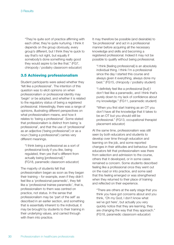"They're quite sort of practice affirming with each other, they're quite nurturing. I think it depends on the group obviously, every group's different, but I think they're quick to say that's not right, but equally if somebody's done something really good they would aspire to be like that." (FG7, chiropody / podiatry classroom educator)

### **3.5 Achieving professionalism**

Student participants were asked whether they 'felt like a professional'. The intention of this question was to elicit opinions on when professionalism or professional identity may 'begin' or be adopted, and whether it is related to the regulatory status of being a registered professional. Interestingly, there was a range of opinions, illustrating different perspectives on what professionalism means, and how it relates to 'being a professional'. Some stated that professionalism is distinct from being 'a professional', and that the use of 'professional' as an adjective ('being professional') or as a noun ('being a professional') carries very different meanings.

"I think being a professional as a sort of professional body if you like, being regulated, then yes that's different from actually being [professional]." (FG18, paramedic classroom educator)

The majority of students felt that professionalism began as soon as they began their training – for example, even if they didn't feel like a 'professional paramedic', they felt like a 'professional trainee paramedic', that is, professionalism to them was centred on practice, not status. In the sense that professionalism may be 'part of the self' as described in an earlier section, and something that is essentially inherent to the individual, it may be brought by students to their training in their underlying values, and carried through with them into practice.

It may therefore be possible (and desirable) to 'be professional' and act in a professional manner before acquiring all the necessary knowledge and skills and becoming a registered professional. Indeed it may not be possible to qualify without being professional.

"I think [feeling professional] is an absolutely individual thing. I think I'm a professional since the day I started this course and always given it everything, always done my best." (FG15, chiropody / podiatry student)

"I definitely feel like a professional [but] I don't feel like a paramedic, and I think that's purely down to my lack of confidence about my knowledge." (FG11, paramedic student)

"When you first start training as an OT you don't have all the knowledge that it takes to be an OT but you should still be professional." (FG13, occupational therapist placement educator)

At the same time, professionalism was still seen by both educators and students to develop over time through education and learning on the job, and some reported changes in their attitudes and behaviour. Some educators felt that professionalism was there from selection and admission to the course, others that it developed, or in some cases remained a concern. Some students described feeling like a professional once they went out on the road or into practice, and some said that this feeling emerged or was strengthened when they returned to their place of training and reflected on their experience.

"There are others at the early stage that you think you have got concerns about and you think, 'Oh my God, I don't know what we've got here', but actually you very quickly notice that they are learning, they are changing the way that they approach." (FG18, paramedic classroom educator)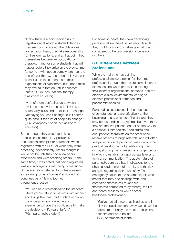"I think there is a point leading up to [registration] at which a student decides they are going to accept the obligations placed upon them, they take responsibility for their own actions, and at that point they themselves become an occupational therapist... and for some students that will happen before they arrive on the programme, for some it will happen somewhere near the end of year three... and I don't think we can push it upon the students and their expectations of placement, but I don't think they ever take that on until it becomes innate." (FG6, occupational therapy classroom educator)

"A lot of them don't change between level one and level three so I think it is a personality issue and it's difficult to change. Not saying you can't change, but it seems quite difficult for a lot of people to change." (FG7, chiropody / podiatry classroom educator)

Some thought they would feel like a professional chiropodist / podiatrist, occupational therapist or paramedic when registered with the HPC, or when they were practising independently; others thought it would not be until they had a few years experience and were teaching others. At the same time, it was noted that being registered was not synonymous with being professional. Some educators referred to professionalism as 'evolving' or as a 'journey' and one that continued as a 'lifelong journey' throughout practice.

"You can be a professional to the standard where you're talking to patients with respect and things like that... but the fact of having the underpinning knowledge and experience to have the confidence to make the decisions – it's years, isn't it." (FG4, paramedic student)

For some students, their own developing professionalism raised issues about how far they could, or should, challenge what they considered to be unprofessional behaviour in others.

# **3.6 Differences between professions**

While the main themes defining professionalism were similar for the three professional groups, there were some inherent differences between professions relating to their different organisational contexts, and the different clinical environments leading to different professional demands and patient relationships.

Paramedics see patients in the most acute circumstances, and are effectively at the beginning of any episode of healthcare (they may be responding to a referral, but even then, they are the first patient contact on the way to a hospital). Chiropodists / podiatrists and occupational therapists on the other hand receive patients through referrals, and will often see patients over a period of time in which the gradual development of a relationship can occur, allowing the professional a longer period in which to establish an appropriate level and form of communication. The acute nature of paramedic care also has implications for the physical environment of the job, and the risk analysis regarding their own safety. The emergency nature of the paramedic role also meant that they had dealings with, and compared themselves to (and felt themselves compared to by others), the fire and police services as well as other healthcare professionals.

"You've had all three of us lined up and I think the public straight away would say the police are probably the most professional, then fire and we'd be last." (FG3, paramedic student)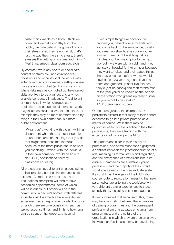"Also I think we do as a body, I think we often, and we get sympathy from the public, we hide behind the guise of oh it's their stress relief, they're not racist, that's just the way they, there's no stress, there's stresses like getting off on time and things." (FG18, paramedic classroom educator)

By contrast, while any health or social care contact contains risk, and chiropodists / podiatrists and occupational therapists may enter community or domiciliary settings where risks are not controlled (and prison settings where risks may be controlled but heightened), visits are likely to be planned, and any risk analysis conducted in advance. The different environments in which chiropodists / podiatrists and occupational therapists work may influence service users' expectations, for example they may be more comfortable to try things in their own home than in a more public environment.

"When you're working with a client within a department when there are other people around there are certain things that you do that might embarrass that individual because of the more public nature of what you are doing... which, with the individual in their own home you would be able to do." (FG6, occupational therapy classroom educator)

All professions have different time constraints to their practice, but the circumstances are different. Chiropodists / podiatrists and occupational therapists will tend to have scheduled appointments, some of which will be in clinics, but others will be in the community, in people's homes, with different expectations. Paramedics have less defined schedules, being responsive to calls, but once on a job there are time constraints, such as target response times, and limits to how long can be spent on handover at a hospital.

"Even simple things like once you've handed your patient over at hospital and you come back to the ambulance, usually you green up straight away once you've finished... we might be at hospital five minutes and then we'd go onto the next job, but if we were with an old hand, they just stay at hospital for like an hour because they want to relax, read their paper, things like that, because that's how they would have done it 20 years ago and if you sat there and greened up after five minutes they'd [not be happy] and then for the rest of the year you'd be known as the person on the station who greens up really quickly so you've got to be careful." (FG11, paramedic student)

Of the three groups, the chiropodists / podiatrists differed in that many of their cohort expected to go into private practice as a matter of course. While there may be opportunities for private practice in the other professions, they were training with the expectation of working in the NHS.

The professions differ in their history as professions, and some responses highlighted a contrast between the professionalisation of a role, meaning its formal status and regulation, and the emergence of professionalism in its culture. Paramedics are a relatively young profession, and the majority of the current workforce trained in the pre-graduate system. It also still has the legacy of the IHCD short course route to registration, meaning that new paramedics are entering the workforce with very different training experiences to those already there, including senior management.

It was suggested that because of this, there may be a mismatch between the aspirations of training programmes and the consequent professionalism of graduates emerging from programmes, and the culture of the organisations in which they are then employed. Individual professionalism may be developing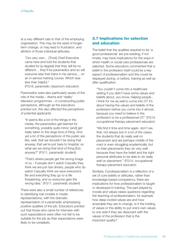at a very different rate to that of the employing organisation. This may be the seed of longerterm change, or may lead to frustration, and attrition of those individual attitudes.

"Our very own… [Trust] Chief Executive came here and told the students that studied for [a degree] that they will be no different… they'll be paramedics and so will everyone else that trains in his service… on an in-service training course. Which was less than helpful."

(FG18, paramedic classroom educator)

Paramedics were also particularly aware of the role of the media – drama and 'reality' television programmes – in constructing public perceptions, although as the educators pointed out, this also affected the perceptions of potential applicants.

"It seems like a lot of the things in the media, the paramedics get blamed for something, possibly quite minor, [and] get really taken to the dogs kind of thing. And yet a lot of the perceptions of the public are like, well, that we shouldn't be doing that anyway, that we're just taxis to hospital, so what are we doing that kind of thing [for] anyway?" (FG11, paramedic student)

"That's where people get the wrong image of us – if people don't watch Casualty they think we are just taxi drivers, people who do watch Casualty think we save everyone's life and everything they go to is life threatening, and so everyone gets the wrong idea." (FG11, paramedic student)

There were also a small number of references to identifying role models in media representations, with the dramatic representation of a paramedic emphasising positive qualities of the job. Educators pointed out that those who came for interview with such expectations were often not felt to be suitable for the job as their expectations were likely to be unrealistic.

## **3.7 Implications for selection and education**

The belief that the qualities required to be 'a good professional' are pre-existing, if not innate, may have implications for the ways in which health or social care professionals are selected. Some educators commented that a belief in the profession itself could be a key aspect of professionalism and this could be displayed during, or before, training as well as after qualification.

"You couldn't come into a healthcare setting if you didn't have some values and beliefs about, you know, helping people... I think for me as well to come into OT it's about having the values and beliefs of the profession before you come into it almost, because you need to believe in the profession to be a professional OT." (FG14, occupational therapy placement educator)

"We find it time and time again, don't we, that, not always but in a lot of the cases, the students that do really well on placement and are perhaps middle of the road or even struggling academically, but on their placements they do very well because they have the belief and the right personal attributes to be able to do really well on placement." (FG14, occupational therapy placement educator)

Similarly, if professionalism is a reflection of a set of core beliefs or attitudes, rather than knowledge-based competency, there are implications for how professionalism is taught or developed in training. The part played by morals and values raises questions regarding the teaching of professionalism, for example how deep-rooted values are and how amenable they are to change. Is it the holding of values or the ability to put one's own values to one side if they are dissonant with the values of the profession that is the important quality?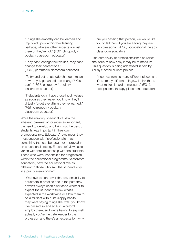"Things like empathy can be learned and improved upon within their learning perhaps, whereas other aspects are just there or they're not." (FG7, chiropody / podiatry classroom educator)

"They can't change their values, they can't change their perceptions." (FG18, paramedic classroom educator)

"To try and get an attitude change, I mean how do you get an attitude change? You can't." (FG7, chiropody / podiatry classroom educator)

"If students don't have those inbuilt values as soon as they leave, you know, they'll virtually forget everything they've learned." (FG7, chiropody / podiatry classroom educator)

While the majority of educators saw the inherent, pre-existing qualities as important, the need to develop and bring out the best of students was important in their own professional role. Educators' roles mean they must engage with 'professionalism' as something that can be taught or improved in an educational setting. Educators' views also varied with their relationship with the students. Those who were responsible for progression within the educational programme ('classroom educators') saw the educational role as different to those who saw the students only in a practice environment.

"We have to hand over that responsibility to educators in practice and in the past they haven't always been clear as to whether to expect the student to follow what's expected in the workplace or allow them to be a student with quite sloppy habits… they were saying things like, well, you know, I've passed so and so but I wouldn't employ them, and we're having to say well actually you're the gate keeper to the profession and there's an expectation, why

are you passing that person, we would like you to fail them if you are saying they are unprofessional." (FG6, occupational therapy classroom educator)

The complexity of professionalism also raises the issue of how easy it may be to measure. This question is being addressed in part by Study 2 of the current project.

"It comes from so many different places and it's so many different things… I think that's what makes it hard to measure." (FG13, occupational therapy placement educator)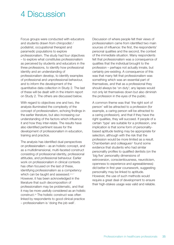# 4 Discussion

Focus groups were conducted with educators and students drawn from chiropodist / podiatrist, occupational therapist and paramedic populations to explore professionalism. The study had four objectives – to explore what constitutes professionalism as perceived by students and educators in the three professions, to identify how professional identity and an understanding of professionalism develop, to identify examples of professional and unprofessional behaviour, and to inform the development of the quantitative data collection in Study 2. The last of these will be dealt with in the interim report on Study 2. The others are discussed below.

With regard to objectives one and two, the analysis illuminated the complexity of the concept of professionalism, echoing findings in the earlier literature, but also increasing our understanding of the factors which influence it and how they inter-relate. The results have also identified pertinent issues for the development of professionalism in education, training and practice.

The analysis has identified dual perspectives on professionalism – as an holistic concept, and as a multidimensional, multi-faceted construct consisting of professional identity, professional attitudes, and professional behaviour. Earlier work on professionalism in clinical contexts has often focused on the last of these, identifying professionalism as a competency which can be taught and assessed.<sup>5, 6, 7</sup> However, it has been acknowledged in the literature that such decomposition of professionalism may be problematic, and that it may be more usefully considered as an holistic construct.20 The holistic construct was often linked by respondents to good clinical practice – professionalism is 'doing the job well'.

Discussion of where people felt their views of professionalism came from identified two main sources of influence: the first, the respondents' personal qualities and the second, the context of the immediate situation. Many respondents felt that professionalism was a consequence of qualities that the individual brought to the profession – perhaps not actually innate, but certainly pre-existing. A consequence of this was that many felt that professionalism was something which was an essential part of themselves, and that as a professional they should always be 'on duty'; any lapses would not only let themselves down but also diminish the profession in the eyes of the public.

A common theme was that 'the right sort of person' will be attracted to a profession (for example, a caring person will be attracted to a caring profession), and that if they have the right qualities, they will succeed. If people of a certain 'type' are suitable for a profession, one implication is that some form of personalitybased aptitude testing may be appropriate for selection, although with the risk that the profession would be more limited as a result. Chamberlain and colleagues<sup>21</sup> found some evidence that students who had similar personality profiles to qualified dentists (on the 'big five' personality dimensions of extroversion, conscientiousness, neuroticism, openness to experience and agreeableness) did better in first year coursework, suggesting personality may be linked to aptitude. However, the use of such methods would require a great deal of development to ensure their high-stakes usage was valid and reliable.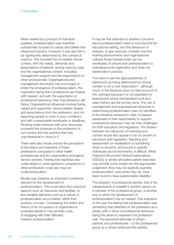When viewed as a product of individual qualities, professionalism was therefore substantially focused on values and beliefs that influenced practice. However, it was also felt to be significantly determined by the context of practice. This included the immediate clinical context, with the needs, demands and expectations of patients varying case-by-case, and the organisational context, including management support and the expectations of other professionals. Organisational and management structures may encourage or inhibit the emergence of professionalism, the implication being that if professions are treated with respect, and with the expectation of professional behaviour, then that behaviour will follow. Organisational influences involved being valued and supported, having realistic targets and expectations from the profession, and not expecting people to work in poor conditions and with unreasonable workloads or deadlines. Working under pressure with poor resources increased the pressure on the profession to cut corners and risk practice that was unprofessional or close to it.

There were also issues around the perception of the status and expertise of these professions compared to other health professionals and (for paramedics) emergency service workers. Feeling that expertise was undervalued or unrecognised in comparison to other professions could also have an undermining effect.

Morale was therefore an important contextual element for the development of professionalism. This could stem from practical aspects such as resources and facilities, to less tangible elements such as a culture of professionalism as a positive, rather than punitive, concept. Considering the extent and history of an occupation or organisation's professionalisation may provide a way of engaging with their attitudes towards professionalism.

It may be that attempts to address concerns about professionalism need to look beyond the educational setting, and the behaviour of trainees, to also seriously consider how the working environments and organisational cultures those trainees enter can be developed, to ensure that professionalism is maintained post-registration and does not deteriorate in practice.

The need to see the appropriateness of behaviours as being determined by clinical context is not a new observation<sup>10</sup>, although much of the literature does not take account of this, perhaps because it is not expedient to assessment where standardised tools and clear metrics are the primary aims. The role of management and organisational influences in determining professionalism was not identified in the literature reviewed to date. Increased awareness of their responsibility to support professional behaviour may set new challenges for both educators and regulators. The tension between the influences of individual and context would also appear to be of concern to educators and regulators. Teaching and assessment (or revalidation) of something which is dynamic, and bound to specific individuals and environments, is difficult. While Objective Structured Clinical Examinations (OSCEs) or similar simulated patient exercises may provide some insight into the appropriate judgement, they may not explicitly examine professionalism, and where they do, have been found to have questionable reliability.10

The adoption of professional identity, that is the categorisation of oneself or another person as a member of the professional group, is another way in which the development of professionalism may be viewed. One indication of this was the feeling that professionalism was something that reflected on the profession as a whole, with a driver of professional behaviour being the desire to represent the profession well. The perceived attitudes of others – patients and professionals – to the professional group as a whole reinforced this identity.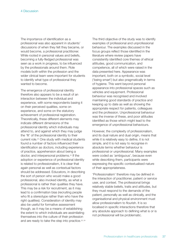The importance of identification as a professional was also apparent in students' discussions of when they felt they became, or would become, a professional practitioner. While rooted in personal values and beliefs, becoming a fully-fledged professional was seen as a work in progress, to be influenced by the professionals around them. Role models both within the profession and the wider clinical team were important for students to identify what type of professional they wanted to become.

The emergence of professional identity therefore also appears to be a result of an interaction between the individual and experience, with some respondents basing it on their perceived qualities, some on experience, and some on the statutory achievement of professional registration. Theoretically, these different elements may indicate different dimensions of the professional identity which individuals may attend to, and against which they may judge the 'fit' of the professional identity to their current role.<sup>22</sup> One study with medical students found a number of factors influenced their identification as doctors, including experience of practice, apprehension about being a doctor, and interpersonal problems.23 If the adoption or experience of professional identity is related to professionalism, it is clear that again personal as well as contextual factors should be addressed. Educators, in describing the sort of person who would make a good professional, also invoked identity, as what a professional is rather than qualities they have. This may be a risk for recruitment, as it may lead to a confirmation bias (recruiting people who fit a stereotype rather than who have the right qualities). Consideration of identity may also be useful for formative assessment though, as it may be a means of establishing the extent to which individuals are assimilating themselves into the culture of their profession and are ready to take the step into practice.<sup>23, 24</sup> The third objective of the study was to identify examples of professional and unprofessional behaviour. The examples discussed in the focus groups reflect those identified in the literature where review papers have consistently identified core themes of ethical attitudes, good communication, and competence, all of which were raised in the data presented here. Appearance was important, both on a symbolic, social level ('being smart') but also pragmatically in terms of hygiene. This went beyond personal appearance into professional spaces such as vehicles and equipment. Professional behaviour was recognised and involved maintaining good standards of practice and keeping up to date as well as showing the appropriate respect for patients, colleagues and the profession. Unprofessional behaviour was the inverse of these, and poor attitudes identified as those which might lead to the emergence of unprofessional behaviours.

However, the complexity of professionalism, and its dual nature and dual origin, means that while it is relatively easy to define, it is not simple, and it is not easy to recognise in absolute terms whether behaviour is professional or unprofessional. Many examples were coded as 'ambiguous', because even while describing them, participants were expressing the specific contextualised nature of their appropriateness.

'Professionalism' therefore may be defined in the interaction of practitioner, patient or service user, and context. The professional brings relatively stable beliefs, traits and attitudes, but they must respond to the demands of the patient, personally as well as clinically, and the organisational and physical environment must allow professionalism to flourish. It is so localised in specific interactions therefore that any absolute approach to defining what is or is not professional will be problematic.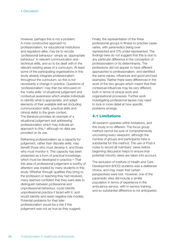However, perhaps this is not a problem. A more constructive approach to professionalism, for educational institutions and regulators alike, may be to recode 'professional behaviour' simply as 'appropriate behaviour' in relevant communication and technical skills, and so to be dealt with in the relevant existing areas of a curriculum. At least some of the participating organisations in this study already integrate professionalism throughout the curriculum, so this is not necessarily a change in practice. Questions of 'professionalism' may then be refocused on the 'meta skills' of situational judgement and contextual awareness which enable individuals to identify what is appropriate, and adapt elements of their available skill-set (including communication skills, practical skills and clinical skills) to the given context. The literature provides an example of a situational judgement test addressing professionalism which may indicate an approach to this,<sup>25</sup> although no data are provided on its use.

Reframing professionalism as a capacity for judgement, rather than discrete skills, may benefit those who must develop it, and those who must monitor it. This capacity has been presented as a form of practical knowledge, which must be developed in practice.<sup>26</sup> That this area of professional judgement is worthy of attention was implied by many students in this study. Whether through qualities they bring to the profession or teaching they had received, many seemed confident that they were able to distinguish between professional and unprofessional behaviour, could identify unprofessional practice if faced with it, and would identify and resist negative role models. Potential problems for their later professionalism would be a risk if this judgement was not as true as they suggest.

Finally, the representation of the three professional groups in fitness to practise cases varies, with paramedics being overrepresented and OTs under-represented. The findings here do not suggest that this is due to any particular difference in the conception of professionalism or its determinants. The professions did not appear to have different approaches to professionalism, and identified the same values, influences and good and bad examples. Rather there were differences in the work of the two groups which meant that their contextual influences may be very different, both in terms of clinical work and organisational processes. Further work investigating professional lapses may need to look in more detail at how specific problems emerge.

# **4.1 Limitations**

All research operates within limitations, and this study is no different. The focus group method cannot be sure of comprehensively uncovering every viewpoint, although the number of groups and participants here is substantial for this method. The use of Post-it notes to record all members' views before beginning discussion helps to ensure that potential minority views are taken into account.

The exclusion of Institute of Health and Care Development (IHCD) students was a deliberate choice, and may mean that certain perspectives were lost. However, one of the paramedic sites did include a similar population in terms of experience in the ambulance service, with in-service training, and so substantial difference is not anticipated.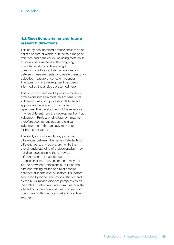### **4.2 Questions arising and future research directions**

This study has identified professionalism as an holistic construct which is linked to a range of attitudes and behaviours, including meta-skills of situational awareness. The on-going quantitative study is developing a questionnaire to establish the relationship between these elements, and relate them to an objective measure of conscientiousness. The questionnaire development has been informed by the analysis presented here.

This study has identified a possible model of professionalism as a meta-skill of situational judgement, allowing professionals to select appropriate behaviour from a toolkit or repertoire. The development of the repertoire may be different from the development of that judgement. Professional judgement may be therefore seen as analogous to clinical judgement, and that analogy may bear further examination.

The study did not identify any particular differences between the views of students of different years, and educators. While the overall understanding of professionalism may not differ substantially, there may be differences in their experience of professionalism. These differences may not just be between professionals, but also the different training routes and relationships between students and educators. Educators employed by higher education institutes and by the NHS implied different perspectives on their roles. Further work may examine how the interaction of personal qualities, context and role is dealt with in educational and practice settings.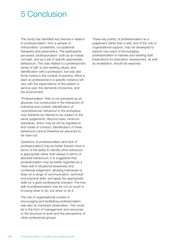# 5 Conclusion

This study has identified key themes in relation to professionalism, from a sample of chiropodists / podiatrists, occupational therapists and paramedics. The participants perceived 'professionalism' both as an holistic concept, and as a set of specific appropriate behaviours. This was related to a professional's sense of self, to pre-existing values, and identification with a profession, but was also firmly rooted in the context of practice. What is seen as professional in a specific instance will vary with the expectations of the patient or service user, the demands of practice, and the environment.

'Professionalism' then is not perceived as an absolute, but constructed in the interaction of individual and context. Identification of 'unprofessional' behaviour in the workplace may therefore be inferred to be subject to the same judgements. Beyond basic minimum standards, which may be set by regulations and codes of conduct, identification of these behaviours cannot therefore be assumed to be clear-cut.

Questions of professionalism (and lack of professionalism) may be better framed more in terms of the ability to identify when behaviour is appropriate rather than always in terms of absolute behaviours. It is suggested that professionalism may be better regarded as a meta-skill of situational awareness and contextual judgement, allowing individuals to draw on a range of communication, technical and practical skills, and apply the appropriate skills for a given professional scenario. The true skill of professionalism may be not so much in knowing what to do, but when to do it.

The role of organisational context in encouraging and facilitating professionalism was also an important observation. This could be in the form of management and resources, or the structure of work and the perceptions of other professional groups.

These key points, of professionalism as a judgement rather than a skill, and of the role of organisational support, may be developed to explore new ways of encouraging professionalism in trainees and existing staff. Implications for education, assessment, as well as revalidation, should be explored.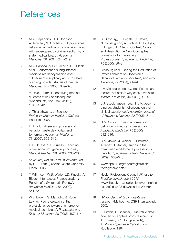# **References**

- 1 M.A. Papadakis, C.S. Hodgson, A. Teherani , N.D. Kohatsu, 'Unprofessional behaviour in medical school is associated with subsequent disciplinary action by a state medical board', *Academic Medicine*, 79 (2004), 244–249.
- 2 M.A. Papadakis, G.K. Arnold, L.L. Blank, et al, 'Performance during internal medicine residency training and subsequent disciplinary action by state licensing boards', *Annals of Internal Medicine*, 148 (2008), 869–876.
- 3 A. Reid, Editorial: 'Identifying medical students at risk of subsequent misconduct', *BMJ*, 340 (2010), 1041–1042.
- 4 J. Thistlethwaite, J. Spencer, *Professionalism in Medicine* (Oxford: Radcliffe, 2008).
- 5 L. Arnold, 'Assessing professional behavior: yesterday, today, and tomorrow', *Academic Medicine*, 77 (2002), 502–515.
- 6 R.L. Cruess, S.R. Cruess, 'Teaching professionalism: general principles', *Medical Teacher*, 28 (2006), 205–208.
- 7 *Measuring Medical Professionalism, ed.* by D.T. Stern. (Oxford: Oxford University Press, 2006).
- 8 T. Wilkinson, W.B. Wade, L.D. Knock, 'A Blueprint to Assess Professionalism: Results of a Systematic Review', *Academic Medicine*, 84 (2009), 551–558.
- 9 W.E. Brown, G. Margolis, R. Roger Levine, 'Peer evaluation of the professional behaviors of emergency medical technicians', *Prehospital and Disaster Medicine*, 20 (2005) 107–114.
- 10 S. Ginsburg, G. Regehr, R. Hatala, N. Mcnaughton, A. Frohna, B. Hodges, L. Lingard, D. Stern, 'Context, Conflict, and Resolution: A New Conceptual Framework for Evaluating Professionalism', *Academic Medicine*, 75 (2000); s6–s11.
- 11 Ginsburg et al, 'Basing the Evaluation of Professionalism on Observable Behaviors: A Cautionary Tale', *Academic Medicine*, 79 (2004), s1–s4.
- 12 L.V. Monrouxe 'Identity, identification and medical education: why should we care?', *Medical Education,* 44 (2010), 40–49
- 13 L.J. Stockhausen, 'Learning to become a nurse: students' reflections on their clinical experiences', *Australian Journal of Advanced Nursing*, 22 (2005), 8–14.
- 14 H.M. Swick, 'Toward a normative definition of medical professionalism', *Academic Medicine,* 75 (2000), 612–616.
- 15 C.M. Joyce, J. Wainer, L. Piterman, A. Wyatt, F. Archer, 'Trends in the paramedic workforce: a profession in transition', *Australian Health Review,* 33 (2009), 533–540.
- 16 www.hpc-uk.org/aboutregistration/ theregister/oldstat
- 17 Health Professions Council. *Fitness to Practise annual report 2010* (www.hpcuk.org/publications/reports/ind ex.asp?id =403 downloaded 20 March 2011).
- 18 NVivo, *Using NVivo in qualitative research* (Melbourne: QSR International, 2002).
- 19 J. Ritchie, L. Spencer, 'Qualitative data analysis for applied policy research', in A. Bryman, R.G. Burgess (eds), *Analysing Qualitative Data* (London: Routledge, 1994)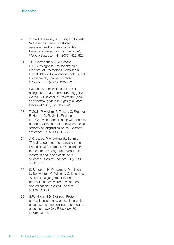- 20 V. Jha, H.L. Bekker, S.R. Duffy, T.E. Roberts, 'A systematic review of studies assessing and facilitating attitudes towards professionalism in medicine', *Medical Education*, 41 (2007), 822–829.
- 21 T.C. Chamberlain, V.M. Catano, D.P. Cunningham, 'Personality as a Predictor of Professional Behavior in Dental School: Comparisons with Dental Practitioners', *Journal of Dental Education*, 69 (2005), 1222–1237.
- 22 P.J. Oakes, 'The salience of social categories', in JC Turner, MA Hogg, PJ Oakes, SD Reicher, MS Wetherell (eds), *Rediscovering the social group* (Oxford: Blackwell,1987), pp. 117–141.
- 23 T. Gude, P. Vaglum, R. Tyssen, Ø. Ekeberg, E. Hem, J.O. Røvik, K. Finset and N.T. Grønvold, 'Identification with the role of doctor at the end of medical school: a nationwide longitudinal study', *Medical Education*, 39 (2005), 66–74.
- 24 J. Crossley, P. Vivekananda-Schmidt, 'The development and evaluation of a Professional Self Identity Questionnaire to measure evolving professional selfidentity in health and social care students', *Medical Teacher,* 31 (2009), e603–607.
- 25 S. Schubert, H. Ortwein, A. Dumitsch, U. Schwantes, O. Wilhelm, C. Kiessling, 'A situational judgement test of professional behaviour: development and validation', *Medical Teacher,* 30 (2008), 528–33.
- 26 S.R. Hilton, H.B. Slotnick, 'Protoprofessionalism: how professionalisation occurs across the continuum of medical education', *Medical Education*, 39 (2005), 58–65.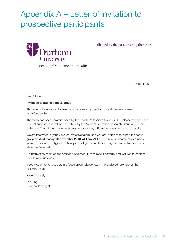# Appendix A – Letter of invitation to prospective participants



This letter is to invite you to take part in a research project looking at the development of professionalism.

The study has been commissioned by the Health Professions Council (HPC, please see enclosed letter of support), and will be carried out by the Medical Education Research Group at Durham University. The HPC will have no access to data - they will only receive summaries of results.

We are interested in your views on professionalism, and you are invited to take part in a focus group on Wednesday 10 November 2010, at 1pm. All trainees in your programme are being invited. There is no obligation to take part, but your contribution may help us understand more about professionalism.

An information sheet on the project is enclosed. Please read it carefully and feel free to contact us with any questions.

If you would like to take part in a focus group, please return the enclosed reply slip on the following page.

Yours sincerely

Jan Illing Principal Investigator 4 October 2010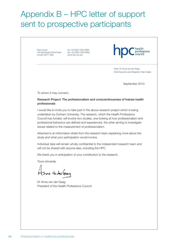# Appendix B – HPC letter of support sent to prospective participants

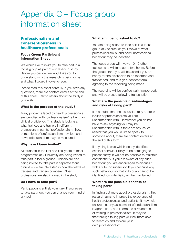# Appendix C – Focus group information sheet

# **Professionalism and conscientiousness in healthcare professionals**

#### **Focus Group Participant Information Sheet**

We would like to invite you to take part in a focus group as part of our research study. Before you decide, we would like you to understand why the research is being done and what it would involve for you.

Please read this sheet carefully. If you have any questions, there are contact details at the end of this sheet. Talk to others about the study if you wish.

### **What is the purpose of the study?**

Many problems faced by health professionals are identified with 'professionalism' rather than clinical proficiency. This study is looking at what trainees and trainers in different professions mean by 'professionalism', how perceptions of professionalism develop, and how professionalism may be measured.

#### **Why have I been invited?**

All students in the first and final years of the x programmes at x University are being invited to take part in focus groups. Trainers are also being invited to take part in separate focus groups – we are interested in how the views of trainees and trainers compare. Other professions are also involved in the study.

#### **Do I have to take part?**

Participation is entirely voluntary. If you agree to take part now, you can change your mind at any point.

#### **What am I being asked to do?**

You are being asked to take part in a focus group at x to discuss your views of what professionalism is, and how unprofessional behaviour may be identified.

The focus group will involve 10-12 other trainees and will take up to two hours. Before the group starts you will be asked if you are happy for the discussion to be recorded and transcribed, and to sign a consent form agreeing to the recording being made.

The recording will be confidentially transcribed, and will be erased following transcription.

#### **What are the possible disadvantages and risks of taking part?**

It is possible that the discussion may address issues of professionalism you are uncomfortable with. Remember you do not have to say anything you may be uncomfortable with. If there are any issues raised that you would like to speak to someone about, there are contact details at the end of this form.

If anything is said which clearly identifies criminal behaviour likely to be damaging to patient safety, it will not be possible to maintain confidentiality. If you are aware of any such behaviour, you are encouraged to discuss it with a tutor or supervisor. If you describe any such behaviour so that individuals cannot be identified, confidentiality will be maintained.

### **What are the possible benefits of taking part?**

In finding out more about professionalism, this research aims to improve the experience of health professionals, and patients. It may help ensure that any assessment of professionalism is appropriate, and inform the development of training in professionalism. It may be that through taking part you feel more able to reflect on and explore your own professionalism.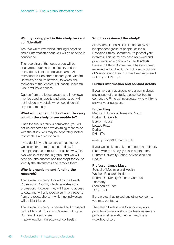#### **Will my taking part in this study be kept confidential?**

Yes. We will follow ethical and legal practice and all information about you will be handled in confidence.

The recording of the focus group will be anonymised during transcription, and the transcript will not include your name. All transcripts will be stored securely on Durham University's secure network, to which only members of the Medical Education Research Group will have access.

Quotes from the focus groups and interviews may be used in reports and papers, but will not include any details which could identify anyone personally.

#### **What will happen if I don't want to carry on with the study or am unable to?**

Once the focus group is completed, you will not be expected to have anything more to do with the study. You may be separately invited to complete a questionnaire.

If you decide you have said something you would prefer not to be used as data, for example quoted in results, let us know within two weeks of the focus group, and we will send you the anonymised transcript for you to identify the statements and remove them.

#### **Who is organising and funding the research?**

The research is being funded by the Health Professions Council, which regulates your profession. However, they will have no access to data and will only receive summary reports from the researchers, in which no individuals will be identifiable.

The research is being organised and managed by the Medical Education Research Group at Durham University (see http://www.durham.ac.uk/school.health).

#### **Who has reviewed the study?**

All research in the NHS is looked at by an independent group of people, called a Research Ethics Committee, to protect your interests. This study has been reviewed and given favourable opinion by Leeds (West) Research Ethics Committee. It has also been reviewed within the Durham University School of Medicine and Health. It has been registered with the x NHS Trust.

#### **Further information and contact details**

If you have any questions or concerns about any aspect of this study, please feel free to contact the Principal Investigator who will try to answer your questions:

#### Dr Jan Illing

Medical Education Research Group Durham University Burdon House Leazes Road Durham DH1 1TA

email. j.c.illing@durham.ac.uk

If you would like to talk to someone not directly linked with the study, you can contact the Durham University School of Medicine and Health:

#### Professor James Mason

School of Medicine and Health Wolfson Research Institute Durham University Queen's Campus **Thornaby** Stockton on Tees TS17 6BH

If the project has raised any other concerns, you may contact x

The Health Professions Council may also provide information about professionalism and professional regulation – their website is www.hpc-uk.org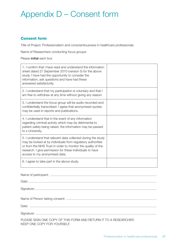# Appendix D – Consent form

# **Consent form**

Title of Project: Professionalism and conscientiousness in healthcare professionals

Name of Researchers conducting focus groups:

#### Please initial each box

| 1. I confirm that I have read and understand the information<br>sheet dated 27 September 2010 (version 5) for the above<br>study. I have had the opportunity to consider the<br>information, ask questions and have had these<br>answered satisfactorily.                                  |  |
|--------------------------------------------------------------------------------------------------------------------------------------------------------------------------------------------------------------------------------------------------------------------------------------------|--|
| 2. I understand that my participation is voluntary and that I<br>am free to withdraw at any time without giving any reason.                                                                                                                                                                |  |
| 3. I understand the focus group will be audio-recorded and<br>confidentially transcribed. I agree that anonymised quotes<br>may be used in reports and publications.                                                                                                                       |  |
| 4. I understand that in the event of any information<br>regarding criminal activity which may be detrimental to<br>patient safety being raised, the information may be passed<br>to x University.                                                                                          |  |
| 5. I understand that relevant data collected during the study<br>may be looked at by individuals from regulatory authorities<br>or from the NHS Trust in order to monitor the quality of the<br>research. I give permission for these individuals to have<br>access to my anonymised data. |  |
| 6. I agree to take part in the above study.                                                                                                                                                                                                                                                |  |

| PLEASE SIGN ONE COPY OF THIS FORM AND RETURN IT TO A RESEARCHER.<br>KEEP ONE COPY FOR YOURSELF. |
|-------------------------------------------------------------------------------------------------|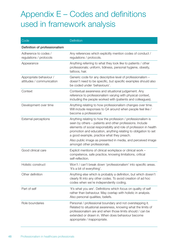# Appendix E – Codes and definitions used in framework analysis

| Code                                                 | Definition                                                                                                                                                                                                                                                                                                                                                                                                      |
|------------------------------------------------------|-----------------------------------------------------------------------------------------------------------------------------------------------------------------------------------------------------------------------------------------------------------------------------------------------------------------------------------------------------------------------------------------------------------------|
| Definition of professionalism                        |                                                                                                                                                                                                                                                                                                                                                                                                                 |
| Adherence to codes /<br>regulations / protocols      | Any references which explicitly mention codes of conduct /<br>regulations / protocols.                                                                                                                                                                                                                                                                                                                          |
| Appearance                                           | Anything referring to what they look like to patients / other<br>professionals; uniform, tidiness, personal hygiene, obesity,<br>tattoos, hair.                                                                                                                                                                                                                                                                 |
| Appropriate behaviour /<br>attitudes / communication | Generic code for any descriptive level of professionalism -<br>doesn't need to be specific, but specific examples should also<br>be coded under 'behaviours'.                                                                                                                                                                                                                                                   |
| Context                                              | Contextual awareness and situational judgement. Any<br>reference to professionalism varying with physical context,<br>including the people worked with (patients and colleagues).                                                                                                                                                                                                                               |
| Development over time                                | Anything relating to how professionalism changes over time.<br>Will include responses to Q4 around when people feel like /<br>become a professional.                                                                                                                                                                                                                                                            |
| External perceptions                                 | Anything relating to how the profession / professionalism is<br>seen by others - patients and other professions. Include<br>elements of social responsibility and role of profession in health<br>promotion and education, anything relating to obligation to set<br>a good example, practice what they preach.<br>Also public image as presented in media, and perceived image<br>amongst other professionals. |
| Good clinical care                                   | Explicit mentions of clinical workplace or clinical work -<br>competence, safe practice, knowing limitations, critical<br>self-reflection.                                                                                                                                                                                                                                                                      |
| Holistic construct                                   | Won't / can't break down 'professionalism' into specific areas.<br>'It's a bit of everything'.                                                                                                                                                                                                                                                                                                                  |
| Other definition                                     | Anything else which is probably a definition, but which doesn't<br>clearly fit into any other codes. To avoid creation of ad hoc<br>codes when we're independently coding.                                                                                                                                                                                                                                      |
| Part of self                                         | 'It's what you are'. Definitions which focus on quality of self<br>rather than behaviour. May overlap with holistic in analysis.<br>Also personal qualities, beliefs.                                                                                                                                                                                                                                           |
| Role boundaries                                      | Personal / professional boundary and not overstepping it.<br>Related to situational awareness, knowing what the limits of<br>professionalism are and when those limits should / can be<br>extended or drawn in. When does behaviour become<br>appropriate / inappropriate.                                                                                                                                      |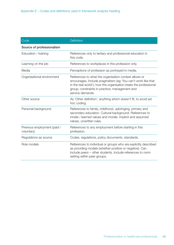| Code                                      | Definition                                                                                                                                                                                                                                                       |
|-------------------------------------------|------------------------------------------------------------------------------------------------------------------------------------------------------------------------------------------------------------------------------------------------------------------|
| Source of professionalism                 |                                                                                                                                                                                                                                                                  |
| Education / training                      | References only to tertiary and professional education in<br>this code.                                                                                                                                                                                          |
| Learning on the job                       | References to workplaces in this profession only.                                                                                                                                                                                                                |
| Media                                     | Perceptions of profession as portrayed in media.                                                                                                                                                                                                                 |
| Organisational environment                | References to what the organisation context allows or<br>encourages. Include pragmatism (eg 'You can't work like that<br>in the real world'); how the organisation treats the professional<br>group; constraints in practice; management and<br>service demands. |
| Other source                              | As 'Other definition'; anything which doesn't fit, to avoid ad<br>hoc coding.                                                                                                                                                                                    |
| Personal background                       | References to family, childhood, upbringing, primary and<br>secondary education. Cultural background. References to<br>innate / learned values and morals. Implicit and assumed<br>values, unwritten rules.                                                      |
| Previous employment (paid /<br>voluntary) | References to any employment before starting in this<br>profession.                                                                                                                                                                                              |
| Regulations as source                     | Codes, regulations, policy documents, standards.                                                                                                                                                                                                                 |
| Role models                               | References to individual or groups who are explicitly described<br>as providing models (whether positive or negative). Can<br>include peers - other students. Include references to norm<br>setting within peer groups.                                          |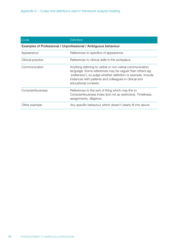| Code                                                            | Definition                                                                                                                                                                                                                                                                 |  |
|-----------------------------------------------------------------|----------------------------------------------------------------------------------------------------------------------------------------------------------------------------------------------------------------------------------------------------------------------------|--|
| Examples of Professional / Unprofessional / Ambiguous behaviour |                                                                                                                                                                                                                                                                            |  |
| Appearance                                                      | References to specifics of appearance.                                                                                                                                                                                                                                     |  |
| Clinical practice                                               | References to clinical skills in the workplace.                                                                                                                                                                                                                            |  |
| Communication                                                   | Anything referring to verbal or non-verbal communication,<br>language. Some references may be vaguer than others (eg)<br>'politeness'), so judge whether definition or example. Include<br>instances with patients and colleagues in clinical and<br>educational contexts. |  |
| Conscientiousness                                               | References to the sort of thing which may link to<br>Conscientiousness Index (but not as restrictive). Timeliness,<br>assignments, diligence.                                                                                                                              |  |
| Other example                                                   | Any specific behaviour which doesn't clearly fit into above                                                                                                                                                                                                                |  |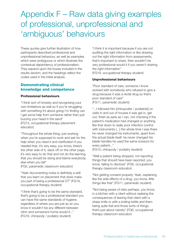# Appendix F – Raw data giving examples of professional, unprofessional and 'ambiguous' behaviours

These quotes give further illustration of how participants described professional and unprofessional behaviour, as well as examples which were ambiguous or which illustrate the contextual dependency of professionalism. They expand upon the boxes included in the results section, and the headings reflect the codes used in the initial analysis.

# **Demonstrating clinical knowledge and competence**

#### **Professional behaviours**

"I think sort of honesty and recognising your own limitations as well so if you're struggling with something it's about going I'm finding can I get some help from someone rather than just burying your head in the sand" (FG13, occupational therapy placement educator)

"Throughout the whole thing, just working when you're supposed to work and ask for the help when you need it and clarification if you needed that, it's very easy, you know, there's the other side of it, slack off on the other page, it's very easy to do that and not do the learning that you should be doing and blame everybody else when you fail"

(FG5, paramedic classroom educator)

"Yeah documenting notes is definitely a skill that you learn on placement that does make you part of being a professional OT" (FG19, occupational therapy student)

"I think that's going to be the same standard, that's going to be a professional standard you can have the same standards of hygiene regardless of where you are just as an you know it wouldn't be any different between clinic and someone's home would it..." (FG16, chiropody / podiatry student)

"I think it is important because if you are not auditing the right information or like drawing out the right information from assessments, that's important to share, then wouldn't be very professional would it if you weren't sharing the right information" (FG19, occupational therapy student)

### **Unprofessional behaviours**

"Poor standard of care, someone I know worked with somebody who refused to give a drug because it was a rectal drug so that's poor standard of care" (FG11, paramedic student)

"...I followed him [chiropodist / podiatrist] on visits in and out of houses it was get in, get out, finish as early as I can, not checking if the patient's medication had changed or anything like that down to really poor infection control with instruments [...] the whole time I was there he never changed his instruments, apart from the actual blade itself, he never changed his blade handles he used the same scissors for every patient..."

(FG15, chiropody / podiatry student)

"Well a patient being dropped, not reporting things that should have been reported, you know, failing to disclose" (FG6, occupational therapy classroom educator)

"Not getting consent properly. Yeah, explaining like the side effects of a drug, you know, little things like that" (FG11, paramedic student)

"Not being aware of risks perhaps, you know, in a kitchen with a client without realising the consequences of leaving that client with a sharp knife or with a boiling kettle and them being quite frail and those sorts of things, that's just about naivety" (FG6, occupational therapy classroom educator)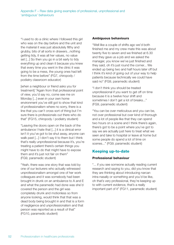"I used to do a clinic where I followed this girl who was on the day before and the unit and the material it was just absolutely filthy and grubby, bits of all sorts in drawers...nothing getting tidy, it was all her values, no value set [...] So then you go in a bit early to tidy everything up and clean it because you knew that every time you went in the clinic it was going to be a mess, the young ones had left from the time before" (FG7, chiropody / podiatry classroom educator)

[when a neighbour or friend asks you for treatment] "Again from that professional point of view, you'd say no, come see me on Monday [...] even in your own home environment you've still got to show that kind of professionalism where no sorry, there is a line that you can't cross sort of thing but I'm sure there is professionals out there who do that" (FG15, chiropody / podiatry student)

"Leaving the doors open on the back of the ambulance I hate that [...] it is a clinical error isn't it you've got to be shut away, anyone can walk past [...] I don't say it to them but I think that's really unprofessional because it's, you're treating a patient there's certain things you might have to do that might have to expose them and it's just not fair on them" (FG9, paramedic student)

"Yeah, there was one story that was told by one of our lecturers who actually witnessed unprofessionalism amongst one of her work colleagues and it was somebody had been brought in drunk on an ambulance to A and E and what the paramedic had done was she'd covered the person and the girl was completely drunk and motionless so from anyone looking, would think that that was a dead body being brought in and that is a form of negligence and unprofessionalism and that person was reported as a result of that" (FG10, paramedic student)

#### **Ambiguous behaviours**

"Well like a couple of shifts ago we'd both finished me and my crew mate this was about twenty five to seven and we finished at 6.30 and they gave us a job and we asked the manager, you know we've just finished and they said, oh it's just round the corner... We ended up being two and half hours later off but I think it's kind of going out of your way to help patients because technically we could have said no" (FG9, paramedic student)

"I don't think you should be treated unprofessional if you want to get off on time because it is a twelve hour shift and sometimes I don't get a lot of breaks..." (FG9, paramedic student)

"You can be over meticulous and you can be, not over professional but over kind of thorough and a lot of people like that they can spend two hours on a scene and I think there's again, there's got to be a point where you've got to say we are actually just here to treat what we seen and take to hospital or leave at home but some people do spend a lot of time on scenes..." (FG9, paramedic student)

# **Keeping up-to-date**

#### **Professional behaviour**

"... if you see someone actually reading current research and saying to you, did you know that they are thinking about introducing narcan intra-nasally or something and you'd be like, oh that's very professional, they're keeping up to with current evidence, that's a really important part of it" (FG11, paramedic student)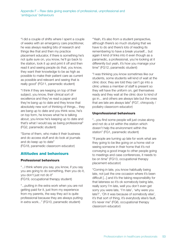"I did a couple of shifts where I spent a couple of weeks with an emergency care practitioner, he was always reading bits of research and things like that and then my practice placement educator, if there is something he's not quite sure on, you know, he'll go back to the station, look it up and print it off and then read it and seeing people do that, you know, they want their knowledge to be as high as possible to make their patient care as current as possible and relevant and seeing that is really good" (FG11, paramedic student)

"I think if they are keeping on top of their subject, you know, their clinical sort of excellence and they've read a paper and they're bang up to date and they know that absolutely new sort of thinking of things... they are bang up to date and you think wow, he's on top form, he knows what he is talking about, you know he's keeping up to date and that's what I would say as being professional" (FG2, paramedic student)

"Some of them, who make it their business and do access stuff and do look at journals and do keep up to date" (FG18, paramedic classroom educator)

### **Attitudes and behaviours**

#### **Professional behaviours**

"...I think where you say, you know, if you say you are going to do something, then you do it, you don't just not do it" (FG19, occupational therapy student)

"...putting in the extra work when you are not getting paid for it, just from my experience from my parents, the way they act is quite professional because they are always putting in extra work..." (FG10, paramedic student)

"Yeah, it's also from a student perspective, although there's so much studying that we have to do and there's lots of reading its remembering to have a break yourself... but again it kind of links into it even though as a paramedic, a professional, you're looking at it differently but yeah, it's how you manage your time" (FG12, paramedic student)

"I was thinking you know sometimes like our students, some students will kind of wait at the clinic door, they are told they can't go into a clinic unless a member of staff is present so they will have the uniform on, get themselves ready and they wait at the clinic door to kind of go in... and others are always late but the ones that are late are always late" (FG7, chiropody / podiatry classroom educator)

#### **Unprofessional behaviours**

"...you find some people will just cruise along and not do a lot within the station which doesn't help the environment within the station" (FG1, paramedic student)

"If people are turning up late for work what are they going to be like going on a home visit or seeing someone in their home that it's not conveying a good image to other people going to meetings and case conferences, it needs to be on time" (FG13, occupational therapy placement educator)

"Coming in late, you know habitually being late, not just the one occasion where it's been difficult [...] and it's the taking responsibility for that lateness so it's ok somebody being late, really sorry I'm late, well you don't even get sorry you were late, 'I'm late', 'why were you late?', 'Oh it was because of somebody else', it's that sort of thing, it's everybody else's fault, it's never me" (FG6, occupational therapy classroom educator)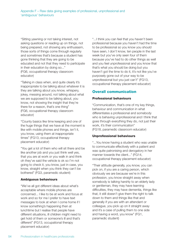"Sitting yawning or not taking interest, not asking questions or reading up on things, not being prepared, not showing any enthusiasm, those sorts of things come through regularly and sometimes that's because a student has gone thinking that they are going to be educated and not that they need to participate in their education by doing so..." (FG6, occupational therapy classroom educator)

"Talking in class when, and quite clearly it's inappropriate to be talking about whatever it is they are talking about you know, whispery, jokey, messing around, not talking about what we are supposed to be talking about, you know, not showing the insight that they're there for a reason, that's one thing" (FG6, occupational therapy classroom educator)

"County basics like time keeping and one of the huge things that we have at the moment is like with mobile phones and things, isn't it, you know, using them at inappropriate times" (FG13, occupational therapy placement educator)

"You get a lot of them who will sit there and be like another job and you just think well yes, that you are at work or you walk in and think oh they've said the vehicle is ok so I'm not going to check it, you know, just in case, you know, straight when you think they can't be bothered" (FG3, paramedic student)

#### **Ambiguous behaviours**

"We've all got different ideas about what's acceptable where mobile phones are concerned... I like to be at work and focus at work and so for me I prefer to have text messages to look at when I come home if I know something's happening then at lunchtime but I realise that people have different situations, ill children might need to get hold of them or someone's ill and that's different" (FG13, occupational therapy placement educator)

"...I think you can feel that you haven't been professional because you haven't had the time to be professional so you know you should have seen, I don't know, ten people in the last week but you've only seen four of them because you've had to do other things as well and you feel unprofessional and you know that that's what you should be doing but you haven't got the time to do it, it's not like you've purposely gone out of your way to be unprofessional but you just can't" (FG13, occupational therapy placement educator)

# **Overall communication**

#### **Professional behaviours**

"Communication, that's one of my key things, behaviour and communication in what differentiates a professional and somebody who is behaving unprofessional and I think that goes through everything they do, not just their work, it's their communication" (FG18, paramedic classroom educator)

#### **Unprofessional behaviours**

"...You know having a student who was unable to communicate effectively with a patient and was quite patronising and derogatory in her manner towards the client..." (FG14, occupational therapy placement educator)

"Their attitude generally, you know, you can pick on, if you are a caring person, which obviously we are because we're in this profession, you know straight away when somebody is talking harshly to an elderly lady or gentleman, they may have learning difficulties, they may have dementia, things like that, it still doesn't give them the right to talk down to them and things like that and generally if you are with an attendant or colleague, you pick up on it straight away and it's a case of pulling them to one side and having a word, you know" (FG1, paramedic student)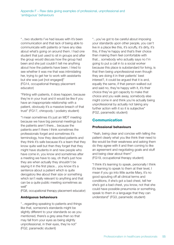"...two students I've had issues with it's been communication and that lack of being able to communicate with patients or have any idea about what's going on around them. I had one student that just used to sit in groups and after the group would discuss how the group had been and she just couldn't tell me anything about how the patients have been. I tried to see whether it was me that was intimidating her, trying to get her to work with assistants but she was just [not engaged]" (FG14, occupational therapy placement educator)

"Flirting with patients, it does happen, because they're in your trust and it would be like if you have an inappropriate relationship with a patient, obviously it's a massive breach of that trust" (FG17, chiropody / podiatry student)

"I mean sometimes it's just an MDT meeting because we have big personal meetings but the patients aren't there... because the patients aren't there I think sometimes the professionals forget and sometimes it's terminology, how they described patients and they think it's safe because it's a team that they know quite well but then they forget that they might have students in and new people who have come in, you know and sometimes after a meeting we have to say, oh that's just how they are when actually they shouldn't be saying it in the first place... you know it's a sentence about a patient which is quite derogatory like about their size or something which isn't really relevant to anything and that can be a quite public meeting sometimes as well"

(FG8, occupational therapy placement educator)

#### **Ambiguous behaviours**

"...regarding speaking to patients and things like that, someone's standards might be slightly different to your standards so as you mentioned, there's a grey area then so that may fall from your eyes as being slightly unprofessional, in their eyes, they're not" (FG2, paramedic student)

"...you've got to be careful about imposing your standards upon other people, you can't live in a place like this, it's scruffy, it's dirty, it's this, if they're happy and that's their choice then making them feel comfortable with that... somebody who actually says no I'm going to put a call in to a social worker because this place is substandard for living, is that then being unprofessional even though they are doing it in their patients' best interest?, it could be argued that it is and, equally the same, if that person walked out and said no, they're happy with it, it's their choice they've got capacity to make that choice and you walk away, somebody else might come in and think you're actually being unprofessional by actually not taking any further action with it so it is subjective" (FG2, paramedic student)

# **Communication**

#### **Professional behaviours**

"Yeah, being clear and concise with telling the patient clearly what you like think their need to like would be their weakness and asking them do they agree with it and then coming to like an agreement and negotiating goals and stuff and being clear about them" (FG19, occupational therapy student)

"I think it's learning to speak, personally I think it's learning to speak to them at their level, I mean if you go into little auntie Mary, it's no good spouting off all clinical terms and conditions, if she's got a bad chest, tell her she's got a bad chest, you know, not that she could have possible pneumonia or something, speak to them in a language that they can understand" (FG3, paramedic student)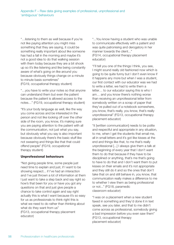"…listening to them as well because if you're not like paying attention you might miss something that they are saying, it could be something really important about like someone has had a fall in the morning and maybe it's not a good idea to do that walking session with them today because they are a bit shook up so it's like listening and like being constantly aware of what's going on like around you because obviously things change on a minute to minute basis sometimes" (FG19, occupational therapy student)

"…you have to write your notes so that anyone can understand them but even the patient because the patient is allowed access to the notes…" (FG19, occupational therapy student)

"It's your body language as well, like the way you come across and be interested in the person and not like looking off over the other side of the room, you know, it's making sure you are paying attention to the patient with all the communication, not just what you say, but obviously what you say is also important because obviously there's the basic stuff like not swearing and things like that that could offend people" (FG19, occupational therapy student)

#### **Unprofessional behaviours**

"Not giving people time, some people just need time to explain and just, if I want to be showing respect... if I've had an interaction and I've just thrown a lot of information at them I just want to take a step back and say right so how's that been for you or have you got any questions on that and just give people a chance to take control again and say right actually this is what I want because it's so easy for us as professionals to think right this is what we need to do rather than thinking about what do they want from us" (FG13, occupational therapy placement educator)

"...You know having a student who was unable to communicate effectively with a patient and was quite patronising and derogatory in her manner towards the client..." (FG14, occupational therapy placement educator)

"I'll tell you one of the things I think, you see, I might sound really old fashioned now which is going to be quite funny but I don't even know if it happens any more but when I was a student, our first contact with our educator was we had to write a letter, we had to write them a letter… to our educator saying this is who I am… and you know there's nothing worse than receiving an unprofessional letter from somebody written on a scrap of paper that they've pulled out of a notebook somewhere, you know, that's really, you know, that's really unprofessional" (FG13, occupational therapy placement educator)

"it [written communication] needs to be polite and respectful and appropriate in any situation, to me, when I get the students that email me, all in small letters and it's got like kisses at the end and things like that, to me that's really unprofessional [...] I always give them a talk at the beginning of every year that I don't want them to do that because if they have to be disciplined or anything, that's me that's going to have to do that and I don't want them to put kisses on their emails and it's not appropriate and they still do it and so the ones that don't take that on and still behave in, you know, that communication really makes a difference to me to whether I view them as being professional or not..." (FG18, paramedic classroom educator)

"I was on a placement when a new student faxed in something and they'd done it in text speak, see you later, and that to me didn't come across as professional, somebody giving a bad impression before you even saw them" (FG13, occupational therapy placement educator)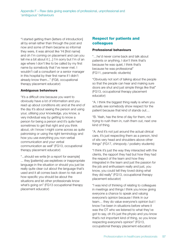"I started getting them [letters of introduction] all by email rather than through the post and now and some of them became so informal they were, it was almost like 'Hi [first name] and oh I'm coming on placement and can you tell me a bit about it [...] I'm sorry but I'm of an age where I don't like to be called by my first name by somebody that I've never met. I wouldn't call a consultant or a senior manager in this hospital by their first name if I didn't already know them..." (FG8, occupational therapy placement educator)

#### **Ambiguous behaviours**

"it's a difficult one because you want to obviously have a lot of information and you read up about conditions etc and at the end of the day it's about seeing the person and using your, utilising your knowledge, you know, a very individual way by getting to know a person for being a person and it's quite hard sometimes to get that right and you think about, oh I know I might come across as quite patronising or using the right terminology and how you use everything you non-verbal communication and your verbal communication as well" (FG13, occupational therapy placement educator)

"...should we write [in a report for example] ... they [patients] use expletives or inappropriate language in the situation or should you just be really quite clear cut about the language that's used and it all comes back down to risk and how specific you should be about the situations and let other professionals know what's going on" (FG13 occupational therapy placement educator)

## **Respect for patients and colleagues**

#### **Professional behaviours**

"…he'd never come back and talk about patients or anything, I don't think that's because he was quiet, I think that's because he was professional" (FG11, paramedic students)

"Obviously not sort of talking about the people so that the people can hear and making sure doors are shut and just simple things like that" (FG13, occupational therapy placement educator)

"A. I think the biggest thing really is when you actually see somebody show respect for the patient because that kind of stands out…

"B. Yeah, has the time of day for them, not trying to rush them in, rush them out, next one kind of thing.

"A. And it's not just around the actual clinical care, it's just respecting them as a person, kind of sits very head and shoulders above other things" (FG17, chiropody / podiatry students)

"I think it's just the way they interacted with the clients, the rapport they had but how they had the respect of the team and how they integrated in the team and just the passion for the job and enthusiasm really and just, you know, you could tell they loved doing what they did really" (FG13, occupational therapy placement educator)

"I was kind of thinking of relating to colleagues in meetings and things I think you know giving everyone a chance to speak and valuing everyone's opinion because I think in our team… they do value everyone's opinion but I know I've been in situations before where it was the OT who we listened to what they've got to say, oh it's just the physio and you know that's not important kind of thing, so you know respecting everyone's opinion" (FG13, occupational therapy placement educator)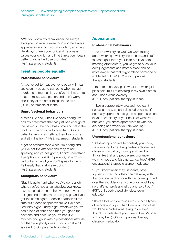"Well you know my team leader, he always asks your opinion of everything and he always appreciates anything you do for him, anything. He always thanks you for it and he always values your opinion and if he thinks your idea is better than his he'll use your idea" (FG4, paramedic student)

# **Treating people equally**

#### **Professional behaviours**

"...you've got to treat everyone equally, I mean say even if you go to someone who has just murdered someone else, you've still just got to treat them just as a person and don't worry about any of the other things in their life" (FG10, paramedic student)

#### **Unprofessional behaviours**

"I mean I've had, when I've been driving I've had my crew mate that has just had enough of the patient in the back has come and sat in the front with me on route to hospital... like if a patient stinks or something they'll just come and sit in the front" (FG9, paramedic student)

"I get so embarrassed when I'm driving and you've got the attender and they're not speaking and you've got to, I don't understand if people don't speak to patients, how do you find out anything if you don't speak to them, it's literally that is all we're doing" (FG9, paramedic student)

#### **Ambiguous behaviours**

"But it is quite hard when you've done a job where you've had a real abusive, you know, maybe kicked out and then you go to your next job and it's the same and you go and you get the same again, it doesn't happen all the time but it does happen where you've been Saturday night, Friday night, whatever, you've had a load of abuse and then you go to the next one and because you've had it 20 minutes, you go in with a professional [attitude] but then everybody does it, you do get a bit agitated" (FG3, paramedic student)

### **Appearance**

#### **Professional behaviours**

"And its jewellery as well, we were talking about wearing jewellery like crosses and stuff, fair enough if that's your faith but if you are meeting other clients, you've got to push your own judgements and morals aside and be more aware that that might offend someone of a different culture" (FG19, occupational therapy student)

"I tend to keep very plain what I do wear, just plain colours if I'm dressing in my own clothes and I don't wear jewellery" (FG19, occupational therapy student)

"...being appropriately dressed, you can't necessarily say smartly dressed because it's not really appropriate to go to a sports session in your best finery or your heels or whatever, but yeah, you dress appropriate to what you are doing and where you are working" (FG19, occupational therapy student)

#### **Unprofessional behaviours**

"Dressing appropriate to context, you know, if we are going to be doing certain activities in a classroom situation, moving and handling, things like that and people are, you know... wearing heels and false nails... low tops" (FG6 occupational therapy classroom educator)

"...you know when they [students] have slipped or they think they can get away with that bracelet in clinic or with hair coming round over the shoulder or any one of us would say no that's not professional go and sort it out" (FG7, chiropody / podiatry classroom educator)

"There's lots of rude things etc on those types of t-shirts and tops. Then I wouldn't think that would be a professional thing to do even though it's outside of your nine to five, Monday to Friday life" (FG6, occupational therapy classroom educator)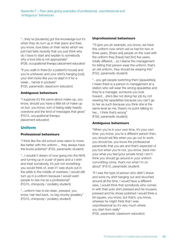"...they've [students] got the knowledge but it's when they do turn up in their jeans and their, you know, love bites on their necks which we just had fairly recently that you just think why do I have to start and explain to somebody why a love bite is not appropriate" (FG8, occupational therapy placement educator)

"If you walk in there [to a patient's house] and you're unshaven and your shirt's hanging [out], your shirt looks like you've slept in it for a week... hands in pockets" (FG5, paramedic classroom educator)

#### **Ambiguous behaviours**

"I suppose it's the same about make-up, you know, should you have a little bit of make-up on but, you know, sort of being really heavily overdone and the kind of messages that gives" (FG13, occupational therapy placement educator)

### **Uniform**

#### **Professional behaviours**

"I think like the old school ones seem to more, like better with the uniform… they always have the boots polished" (FG3, paramedic student)

"...I wouldn't dream of now going into the NHS and turning up in a pair of jeans and a t-shirt and treat somebody, it's just not something you would think of, even if I was stuck out in the wilds in the middle of nowhere, I would still turn up in a uniform because I would want people to see me as a professional" (FG15, chiropody / podiatry student)

"...uniform has to be clean, pressed, you know, hair tied back, no big chunky jewellery" (FG15, chiropody / podiatry student)

#### **Unprofessional behaviours**

"I'll give you an example, you know, we have this uniform now which we've had for two or three years, [there are] people on the road with the uniform they [have] had [for] five years, totally different... so I blame the management for letting that person wear the uniform, that's an old uniform, they should be wearing this" (FG3, paramedic student)

"...you get people switching them [epaulettes]. I mean there is a person in management at a station who will wear the wrong epaulettes and they're a manager, someone you look toward... she's like not doing her job by not wearing her epaulettes because you can't go to her as such because you think she is the same level as me, there's no point talking to her... I think that's wrong" (FG9, paramedic student)

#### **Ambiguous behaviours**

"When you're in your own time, it's your own time, you know, you're a different person then, you should set like when you go out to work, you should be, you know the professional paramedic that you are and that's expected of you but when you're not, you know, back into your what you feel [your private time] I don't think you should go around in your uniform committing crime, that's not what I'm on about" (FG10, paramedic student)

"If I was the type of person who didn't shave and wore my shirt hanging out and slouched around all the time, I would have a different view, I would think that somebody who comes in with their polo shirt pressed and his trousers pressed and his shoes polished I would think a bit square, you know, but that's, you know, whereas he might think that I was unprofessional so it's very much where you start from really" (FG5, paramedic classroom educator)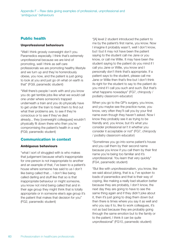# **Public health**

#### **Unprofessional behaviours**

"Well I think grossly overweight don't you. Paramedics especially. I think that's extremely unprofessional because we are kind of promoting, well I think as self care professionals we are promoting healthy lifestyle and we turn up and they're horrendously obese, you now, and the patient is just going to look at you and just go oh what on earth is that" (FG9, paramedic student)

"Well there's people I work with and you know you do get terrible jobs like what we would call one under where someone's trapped underneath a train and you do physically have to get under the train to treat them to find out what their problems are, to see if they're conscious or to see if they've died already... they [overweight colleagues] wouldn't physically fit down there who then you're compromising the patient's health in a way" (FG9, paramedic student)

### **Communication in context**

#### **Ambiguous behaviours**

"what I sort of struggled with is who makes that judgement because what's inappropriate for one person is not inappropriate to another and an example of that, I've been to a patient's house where someone has said to us I don't like being called that… I don't like being called darling and stuff like that so is that inappropriate behaviour or might someone, you know not mind being called that and in their age group they might think that is totally appropriate or in someone else's age group it's the patient that makes that decision for you" (FG2, paramedic student)

"[A] level 2 student introduced the patient to me by the patient's first name, you know. Now I imagine it probably wasn't, well I don't know, but l but it may not have been the patient saying to the student call me Jane or you know, or call me Willie. It may have been the student saying to the patient do you mind if I call you Jane or Willie, you know and I personally don't think that's appropriate. If a patient says to the student, please call me Jane or Willie then that's fine but I don't think its right for the student to say to the patient do you mind if I call you such and such. But that's what happens nowadays" (FG7, chiropody / podiatry classroom educator)

When you go to the GP's surgery, you know, and you maybe see the practice nurse, you know, very often they'll call you by your first name even though they haven't asked. Now I know they probably see it as trying to be friendly and, you know, but it's what you consider professional isn't it whether you consider it acceptable or not" (FG7, chiropody / podiatry classroom educator)

"Sometimes you go into some patient's house and you call them by their second name because you know if you call them by their first name you're being too familiar and it's unprofessional. You learn that very quickly" (FG4, paramedic student)

"But like with unprofessionalism, you know, like we said about joking, that is a, I've spoken to loads of paramedics and that is their way of coping, like making a really bad situation better because they are probably, I don't know, the next day they are going to have to see the same thing again and if they didn't joke about it, then it's just going to drag them down but then there is times where you say it as well and who you say it to, like to work colleagues, it's not as bad because they are probably going through the same emotion but to the family or to the patient, I think it can be quite unprofessional" (FG10, paramedic student)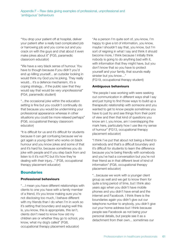"You drop your patient off at hospital, deliver your patient after a really bad complicated job or harrowing job and you come out and you crack on with the guys and chat about it even make jokes about it" (FG5, paramedic classroom educator)

"We have a very black sense of humour. You have to though because if you didn't you'd end up killing yourself... an outsider looking in would think my God you're joking. They really would... it's a defence mechanism, it's a coping strategy... if the public saw that they would say that would be very unprofessional" (FG4, paramedic student)

"...the occasional joke within the education setting is fine but you couldn't continually do that because you would be undermining your professional appearance whereas in other situations you could be more relaxed perhaps" (FG6, occupational therapy classroom educator)

"It is difficult for us and it's difficult for students because it can get confusing because we've got again a young client who works on black humour and you know jokes and some of that and it's hard for, because sometimes you do joke with people and if you step back from and listen to it it's not PC but it's how they're dealing with their injury..." (FG8, occupational therapy placement educator)

# **Boundaries**

#### **Professional behaviours**

"…I mean you have different relationships with clients to one you have with a family member of a friend, it's you know making sure you're not disclosing too much, I behave different with my friends than I do when I'm in work so it's setting that boundary and saying well this is, you know, this is appropriate, this isn't, clients don't need to know how old my children are or whether they go to school, you know, what my dog's called" (FG8, occupational therapy placement educator)

"As a person I'm quite sort of, you know, I'm happy to give a lot of information, you know, maybe I shouldn't say that, you know, but I'm sort of reigning in what I say and think it should become more, I think because I initially think nobody is going to do anything bad with it, with information that they might have, but you don't know that so you have to protect yourself and your family, that sounds really sinister but you know…"

(FG19, occupational therapy student)

#### **Ambiguous behaviours**

"the people I was working with were seeking out communication in different ways shall I say and just trying to find those ways to build up a therapeutic relationship with someone and you wanted to get to know people sometimes you have to just try and see things from their point of view and then that kind of questions you know am I, you know, am I overstepping the mark here, particularly how I use like my sense of humour" (FG13, occupational therapy placement educator)

"I think I've put that about not being a friend to somebody and that's a difficult boundary and it's difficult for students to learn the difference because you're being friendly with somebody and you've had a conversation but you're not their friend as in that different level of kind of information" (FG8, occupational therapy placement educator)

"...because we work with a younger client group as well and we get to know them for quite a long period of time, but I think also years ago when you didn't have mobile phones and you didn't have email and the internet and Facebook. I think there is the boundaries again you didn't give out our telephone number to anybody, you didn't give out your home address but I think because people see Facebook as not being your personal details, but people see it as a detachment from their own... sometimes our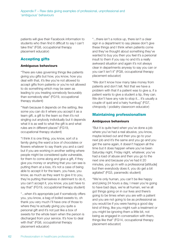patients will give their Facebook information to students who then find it difficult to say I can't take this" (FG8, occupational therapy placement educator)

# **Accepting gifts**

#### **Ambiguous behaviours**

"There are rules governing things like patients giving you gifts but how, you know, how you deal with that, it's like you're not allowed to accept gifts from patients or you're not allowed to do something which may be seen as leading to you treating somebody favourably than somebody else" (FG19, occupational therapy student)

"Yeah because it depends on the setting, like some you can do it where you accept it as a team gift, a gift to the team so then it's not singling out anybody individually but it depends what it is as well to what the gift is and what rules are in different places" (FG19, occupational therapy student)

"I think it is one thing, you know, sort of a family giving the ward a box of chocolates or flowers whatever to say thank you and a card but if you are working in another setting where people might be considered quite vulnerable, for them to come along and give a gift, if they give you money or anything that you can see is putting them at a loss, it's not a case of being able to accept it for the team, you have, you know, as much as they want to give it to you, they're putting themselves in detriment to do it, you can't accept it, you know, you just have to say that" (FG19, occupational therapy student)

"...when it's appropriate just if somebody offers you, you know, a bag of boiled sweets to, oh thank you very much I'll have one of those to where they're actually giving you quite a personal gift and it's not just like a box of sweets for the whole team when the person is discharged from your service. It's how to deal with that" (FG8, occupational therapy placement educator)

"...there isn't a notice up, there isn't a clear sign in a department to say please don't give these things and I think when patients come and they've thought about something they've wanted to buy you then you feel it's a personal insult to them if you say no and it's a really awkward situation and again it's not always clear in departments anyway to say you can or you can't isn't it" (FG8, occupational therapy placement educator)

"We don't know how many take money from patients and don't tell. Not that we have a problem with that if a patient was to give a, if a patient wants to give a student a tip, they can. We don't have any rule to stop it... it's usually a couple of quid and a hairy humbug" (FG7, chiropody / podiatry classroom educator)

# **Maintaining professionalism**

#### **Ambiguous behaviours**

"But it is quite hard when you've done a job where you've had a real abusive, you know, maybe kicked out and then you go to your next job and it's the same and you go and you get the same again, it doesn't happen all the time but it does happen where you've been Saturday night, Friday night, whatever, you've had a load of abuse and then you go to the next one and because you've had it 20 minutes, you go in with a professional [attitude] but then everybody does it, you do get a bit agitated" (FG3, paramedic student)

"We're only human, you can't be like happy and joking 24 hours a day, I mean you're going to have bad days, we're all human, we've all got things going on in our lives and there's going to be times when you are with a patient and you are not going to be as professional as you would be if you were having a good day kind of thing, like you might rush a treatment or you might be ignoring them a little bit, not being as engaged in conversation with them, things like that" (FG14, occupational therapy placement educator)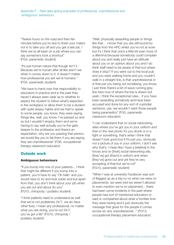"Twelve hours on the road and then ten minutes before you're due to finish your mate's not in to take you off and you get a late job. I think we've all been on a job where you can say someone's took a shortcut" (FG4, paramedic student)

"It's just human nature that though isn't it. Because we're human after all like aren't we when it comes down to it. It doesn't matter how professional you are we're humans." (FG4, paramedic student)

"We have to hand over that responsibility to educators in practice and in the past they haven't always been clear as to whether to expect the student to follow what's expected in the workplace or allow them to be a student with quite sloppy habits and we had to speak to some people, you know, they were saying things like, well, you know, I've passed so and so but I wouldn't employ them and we're having to say well actually you're the gate keeper to the profession and there's an expectation, why are you passing that person, we would like you to fail them if you are saying they are unprofessional" (FG6, occupational therapy classroom educator)

# **Outside work**

#### **Ambiguous behaviours**

"If you bump into one of your patients... I think that might be different if you bump into a patient, you'd have to say 'Oh hello' and you would have to try and look sober and but apart from that, you don't think about your job when you are out and about do you" (FG15, chiropody / podiatry student)

"I think patients need to understand as well that we're not podiatrists 24/7, we do have other lives, I mean any professional, no matter what you are doing, you're not 24/7, you've got a life" (FG15, chiropody / podiatry student)

"Well, physically assaulting people or things like that… I know that you are still bound by things from the HPC whilst you're not at work but it's I think that one's a little bit even more of a dilemma because somebody could complain about you and really just have an attitude about you or an opinion about you and I do think staff need to be aware of that but where does it stop? If you went out to the local pub and you were walking home and you couldn't walk in a straight line, is that unprofessional or is that just you being out socialising, you know, I just think there's a bit of wave running grey line here now of where the line is drawn but yeah, I think the exceptional rules... if you have been assaulting somebody and have been accused and done for any sort of custodial sentence, yes, we wouldn't want those people being paramedics" (FG5, paramedic classroom educator)

"I can understand that on social networking sites where you've got you in your uniform and then in the next photo it's you drunk or in a fight or something, that's when I think that doesn't look good but if it's just you, obviously not a picture of you in your uniform, I don't see why that's, I mean like I have a [relative] in the forces and on [their] social networking site, [they've] got [them] in uniform and when [they've] gone out and yet they're very accepting of that but we're not" (FG10, paramedic student)

"When I was at university Facebook was sort of flagged up as a big no no when we were on placements, we were told we weren't allowed to even mention we're on placement... there had been some incidents in the past where people had sort of mentioned educators or said or complained about what a horrible time they were having and it just obviously the message that gives for the people it comes across as very unprofessional..." (FG13, occupational therapy placement educator)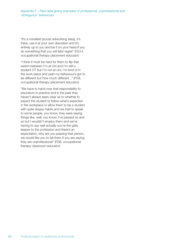"It's a minefield [social networking sites], it's there, use it at your own discretion and it's entirely up to you and be it on your head if you do something that you will later regret" (FG14, occupational therapy placement educator)

"I think it must be hard for them to flip that switch between I'm at Uni and I'm still a student OT but I'm not at Uni, I'm kind of in the work place and yeah my behaviour's got to be different but how much different..." (FG8, occupational therapy placement educator)

"We have to hand over that responsibility to educators in practice and in the past they haven't always been clear as to whether to expect the student to follow what's expected in the workplace or allow them to be a student with quite sloppy habits and we had to speak to some people, you know, they were saying things like, well, you know, I've passed so and so but I wouldn't employ them and we're having to say well actually you're the gate keeper to the profession and there's an expectation, why are you passing that person, we would like you to fail them if you are saying they are unprofessional" (FG6, occupational therapy classroom educator)